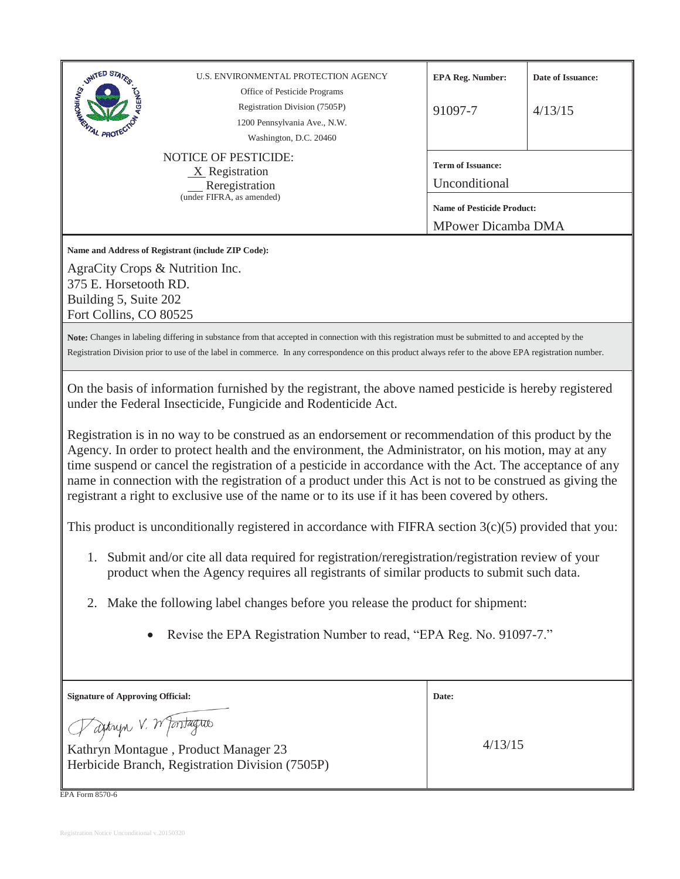| <b>SIGNATED STATES</b><br>U.S. ENVIRONMENTAL PROTECTION AGENCY<br>Office of Pesticide Programs<br>Registration Division (7505P)<br>1200 Pennsylvania Ave., N.W.<br><b>AL PROT</b><br>Washington, D.C. 20460                                                                                                                                                                                                                                                                                                                                                                                                                                                                                                                                                                                                                                                                                                                                                                                                                                                                                                                                                                                     | Date of Issuance:<br><b>EPA Reg. Number:</b><br>91097-7<br>4/13/15 |  |  |
|-------------------------------------------------------------------------------------------------------------------------------------------------------------------------------------------------------------------------------------------------------------------------------------------------------------------------------------------------------------------------------------------------------------------------------------------------------------------------------------------------------------------------------------------------------------------------------------------------------------------------------------------------------------------------------------------------------------------------------------------------------------------------------------------------------------------------------------------------------------------------------------------------------------------------------------------------------------------------------------------------------------------------------------------------------------------------------------------------------------------------------------------------------------------------------------------------|--------------------------------------------------------------------|--|--|
| <b>NOTICE OF PESTICIDE:</b><br>$X$ Registration<br>Reregistration                                                                                                                                                                                                                                                                                                                                                                                                                                                                                                                                                                                                                                                                                                                                                                                                                                                                                                                                                                                                                                                                                                                               | <b>Term of Issuance:</b><br>Unconditional                          |  |  |
| (under FIFRA, as amended)                                                                                                                                                                                                                                                                                                                                                                                                                                                                                                                                                                                                                                                                                                                                                                                                                                                                                                                                                                                                                                                                                                                                                                       | <b>Name of Pesticide Product:</b><br><b>MPower Dicamba DMA</b>     |  |  |
| Name and Address of Registrant (include ZIP Code):<br>AgraCity Crops & Nutrition Inc.<br>375 E. Horsetooth RD.<br>Building 5, Suite 202<br>Fort Collins, CO 80525                                                                                                                                                                                                                                                                                                                                                                                                                                                                                                                                                                                                                                                                                                                                                                                                                                                                                                                                                                                                                               |                                                                    |  |  |
| Note: Changes in labeling differing in substance from that accepted in connection with this registration must be submitted to and accepted by the<br>Registration Division prior to use of the label in commerce. In any correspondence on this product always refer to the above EPA registration number.                                                                                                                                                                                                                                                                                                                                                                                                                                                                                                                                                                                                                                                                                                                                                                                                                                                                                      |                                                                    |  |  |
| On the basis of information furnished by the registrant, the above named pesticide is hereby registered<br>under the Federal Insecticide, Fungicide and Rodenticide Act.<br>Registration is in no way to be construed as an endorsement or recommendation of this product by the<br>Agency. In order to protect health and the environment, the Administrator, on his motion, may at any<br>time suspend or cancel the registration of a pesticide in accordance with the Act. The acceptance of any<br>name in connection with the registration of a product under this Act is not to be construed as giving the<br>registrant a right to exclusive use of the name or to its use if it has been covered by others.<br>This product is unconditionally registered in accordance with FIFRA section $3(c)(5)$ provided that you:<br>1. Submit and/or cite all data required for registration/reregistration/registration review of your<br>product when the Agency requires all registrants of similar products to submit such data.<br>2. Make the following label changes before you release the product for shipment:<br>Revise the EPA Registration Number to read, "EPA Reg. No. 91097-7." |                                                                    |  |  |
| <b>Signature of Approving Official:</b>                                                                                                                                                                                                                                                                                                                                                                                                                                                                                                                                                                                                                                                                                                                                                                                                                                                                                                                                                                                                                                                                                                                                                         | Date:                                                              |  |  |
| Tagtryn V. W Jontagres<br>Kathryn Montague, Product Manager 23<br>Herbicide Branch, Registration Division (7505P)                                                                                                                                                                                                                                                                                                                                                                                                                                                                                                                                                                                                                                                                                                                                                                                                                                                                                                                                                                                                                                                                               | 4/13/15                                                            |  |  |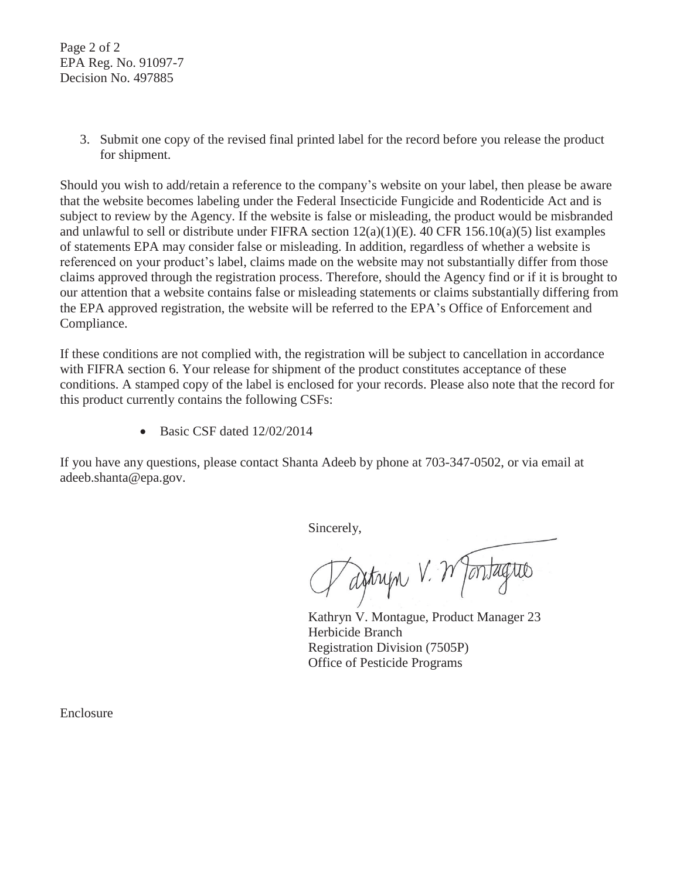Page 2 of 2 EPA Reg. No. 91097-7 Decision No. 497885

> 3. Submit one copy of the revised final printed label for the record before you release the product for shipment.

Should you wish to add/retain a reference to the company's website on your label, then please be aware that the website becomes labeling under the Federal Insecticide Fungicide and Rodenticide Act and is subject to review by the Agency. If the website is false or misleading, the product would be misbranded and unlawful to sell or distribute under FIFRA section 12(a)(1)(E). 40 CFR 156.10(a)(5) list examples of statements EPA may consider false or misleading. In addition, regardless of whether a website is referenced on your product's label, claims made on the website may not substantially differ from those claims approved through the registration process. Therefore, should the Agency find or if it is brought to our attention that a website contains false or misleading statements or claims substantially differing from the EPA approved registration, the website will be referred to the EPA's Office of Enforcement and Compliance.

If these conditions are not complied with, the registration will be subject to cancellation in accordance with FIFRA section 6. Your release for shipment of the product constitutes acceptance of these conditions. A stamped copy of the label is enclosed for your records. Please also note that the record for this product currently contains the following CSFs:

 $\bullet$  Basic CSF dated 12/02/2014

If you have any questions, please contact Shanta Adeeb by phone at 703-347-0502, or via email at adeeb.shanta@epa.gov.

Sincerely,

Saitryn V. Wantagrio

Kathryn V. Montague, Product Manager 23 Herbicide Branch Registration Division (7505P) Office of Pesticide Programs

Enclosure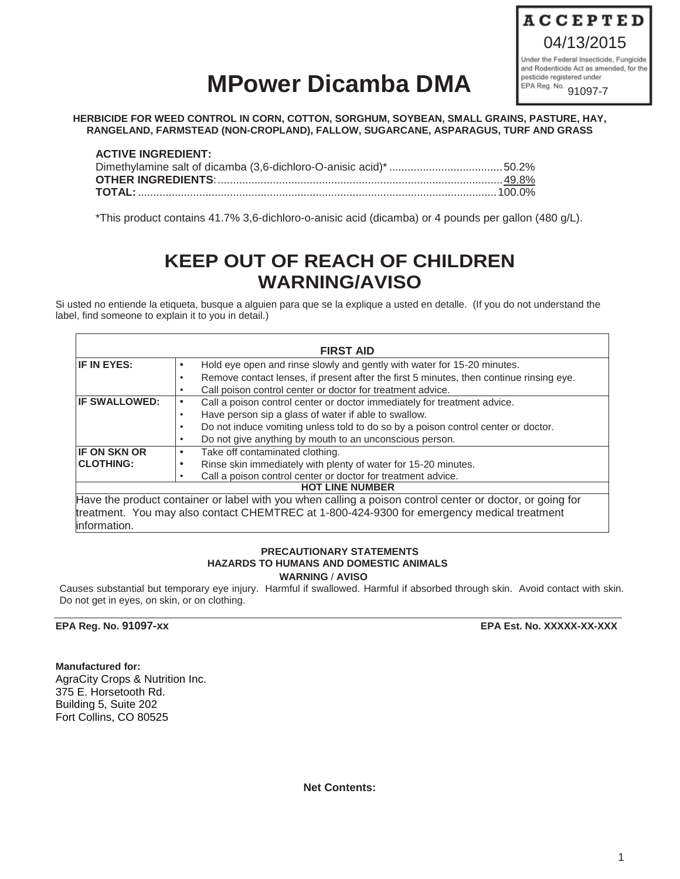

# **MPower Dicamba DMA**

**HERBICIDE FOR WEED CONTROL IN CORN, COTTON, SORGHUM, SOYBEAN, SMALL GRAINS, PASTURE, HAY, RANGELAND, FARMSTEAD (NON-CROPLAND), FALLOW, SUGARCANE, ASPARAGUS, TURF AND GRASS** 

| <b>ACTIVE INGREDIENT:</b> |  |
|---------------------------|--|
|                           |  |
|                           |  |
|                           |  |

\*This product contains 41.7% 3,6-dichloro-o-anisic acid (dicamba) or 4 pounds per gallon (480 g/L).

# **KEEP OUT OF REACH OF CHILDREN WARNING/AVISO**

Si usted no entiende la etiqueta, busque a alguien para que se la explique a usted en detalle. (If you do not understand the label, find someone to explain it to you in detail.)

|                      | <b>FIRST AID</b>                                                                                          |
|----------------------|-----------------------------------------------------------------------------------------------------------|
| <b>IF IN EYES:</b>   | Hold eye open and rinse slowly and gently with water for 15-20 minutes.<br>٠                              |
|                      | Remove contact lenses, if present after the first 5 minutes, then continue rinsing eye.                   |
|                      | Call poison control center or doctor for treatment advice.                                                |
| <b>IF SWALLOWED:</b> | Call a poison control center or doctor immediately for treatment advice.<br>٠                             |
|                      | Have person sip a glass of water if able to swallow.                                                      |
|                      | Do not induce vomiting unless told to do so by a poison control center or doctor.                         |
|                      | Do not give anything by mouth to an unconscious person.                                                   |
| <b>IF ON SKN OR</b>  | Take off contaminated clothing.<br>٠                                                                      |
| <b>CLOTHING:</b>     | Rinse skin immediately with plenty of water for 15-20 minutes.                                            |
|                      | Call a poison control center or doctor for treatment advice.                                              |
|                      | <b>HOT LINE NUMBER</b>                                                                                    |
|                      | Have the product container or label with you when calling a poison control center or doctor, or going for |
|                      | treatment. You may also contact CHEMTREC at 1-800-424-9300 for emergency medical treatment                |
| information.         |                                                                                                           |

#### **PRECAUTIONARY STATEMENTS HAZARDS TO HUMANS AND DOMESTIC ANIMALS WARNING** / **AVISO**

Causes substantial but temporary eye injury. Harmful if swallowed. Harmful if absorbed through skin. Avoid contact with skin. Do not get in eyes, on skin, or on clothing.

**EPA Reg. No. 91097-xx EPA Est. No. XXXXX-XX-XXX** 

**Manufactured for:**  AgraCity Crops & Nutrition Inc. 375 E. Horsetooth Rd. Building 5, Suite 202 Fort Collins, CO 80525

**Net Contents:**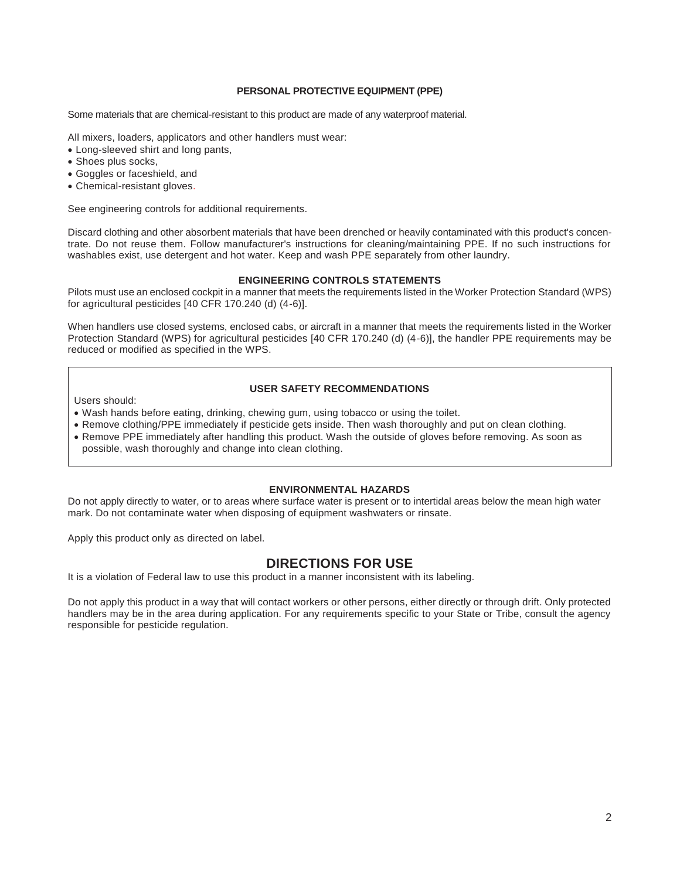#### **PERSONAL PROTECTIVE EQUIPMENT (PPE)**

Some materials that are chemical-resistant to this product are made of any waterproof material.

All mixers, loaders, applicators and other handlers must wear:

- Long-sleeved shirt and long pants,
- Shoes plus socks,
- x Goggles or faceshield, and
- Chemical-resistant gloves.

See engineering controls for additional requirements.

Discard clothing and other absorbent materials that have been drenched or heavily contaminated with this product's concentrate. Do not reuse them. Follow manufacturer's instructions for cleaning/maintaining PPE. If no such instructions for washables exist, use detergent and hot water. Keep and wash PPE separately from other laundry.

#### **ENGINEERING CONTROLS STATEMENTS**

Pilots must use an enclosed cockpit in a manner that meets the requirements listed in the Worker Protection Standard (WPS) for agricultural pesticides [40 CFR 170.240 (d) (4-6)].

When handlers use closed systems, enclosed cabs, or aircraft in a manner that meets the requirements listed in the Worker Protection Standard (WPS) for agricultural pesticides [40 CFR 170.240 (d) (4-6)], the handler PPE requirements may be reduced or modified as specified in the WPS.

#### **USER SAFETY RECOMMENDATIONS**

Users should:

- Wash hands before eating, drinking, chewing gum, using tobacco or using the toilet.
- Remove clothing/PPE immediately if pesticide gets inside. Then wash thoroughly and put on clean clothing.
- Remove PPE immediately after handling this product. Wash the outside of gloves before removing. As soon as possible, wash thoroughly and change into clean clothing.

#### **ENVIRONMENTAL HAZARDS**

Do not apply directly to water, or to areas where surface water is present or to intertidal areas below the mean high water mark. Do not contaminate water when disposing of equipment washwaters or rinsate.

Apply this product only as directed on label.

# **DIRECTIONS FOR USE**

It is a violation of Federal law to use this product in a manner inconsistent with its labeling.

Do not apply this product in a way that will contact workers or other persons, either directly or through drift. Only protected handlers may be in the area during application. For any requirements specific to your State or Tribe, consult the agency responsible for pesticide regulation.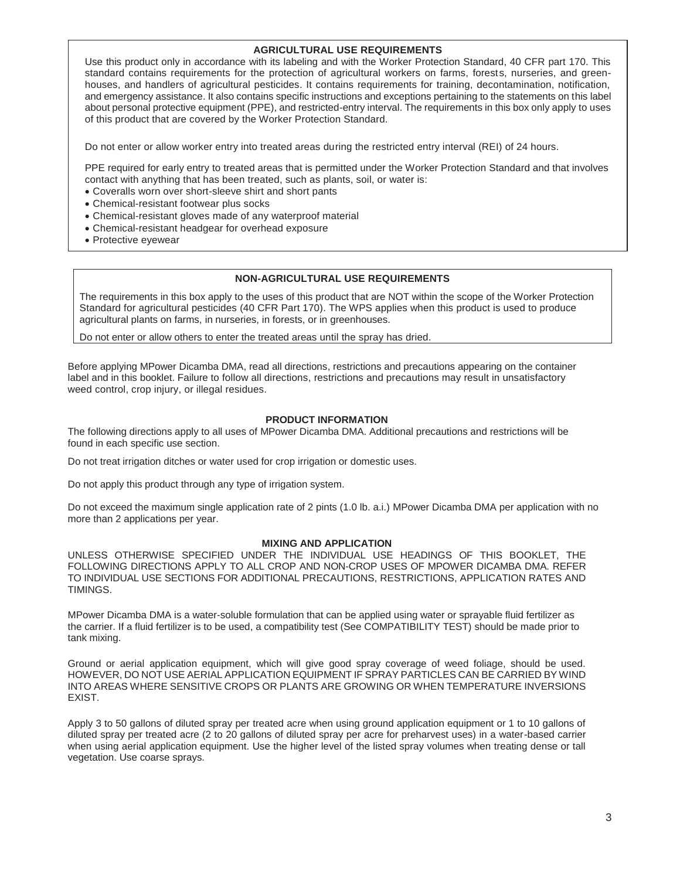#### **AGRICULTURAL USE REQUIREMENTS**

Use this product only in accordance with its labeling and with the Worker Protection Standard, 40 CFR part 170. This standard contains requirements for the protection of agricultural workers on farms, forests, nurseries, and greenhouses, and handlers of agricultural pesticides. It contains requirements for training, decontamination, notification, and emergency assistance. It also contains specific instructions and exceptions pertaining to the statements on this label about personal protective equipment (PPE), and restricted-entry interval. The requirements in this box only apply to uses of this product that are covered by the Worker Protection Standard.

Do not enter or allow worker entry into treated areas during the restricted entry interval (REI) of 24 hours.

PPE required for early entry to treated areas that is permitted under the Worker Protection Standard and that involves contact with anything that has been treated, such as plants, soil, or water is:

- Coveralls worn over short-sleeve shirt and short pants
- Chemical-resistant footwear plus socks
- Chemical-resistant gloves made of any waterproof material
- Chemical-resistant headgear for overhead exposure
- Protective evewear

#### **NON-AGRICULTURAL USE REQUIREMENTS**

The requirements in this box apply to the uses of this product that are NOT within the scope of the Worker Protection Standard for agricultural pesticides (40 CFR Part 170). The WPS applies when this product is used to produce agricultural plants on farms, in nurseries, in forests, or in greenhouses.

Do not enter or allow others to enter the treated areas until the spray has dried.

Before applying MPower Dicamba DMA, read all directions, restrictions and precautions appearing on the container label and in this booklet. Failure to follow all directions, restrictions and precautions may result in unsatisfactory weed control, crop injury, or illegal residues.

#### **PRODUCT INFORMATION**

The following directions apply to all uses of MPower Dicamba DMA. Additional precautions and restrictions will be found in each specific use section.

Do not treat irrigation ditches or water used for crop irrigation or domestic uses.

Do not apply this product through any type of irrigation system.

Do not exceed the maximum single application rate of 2 pints (1.0 lb. a.i.) MPower Dicamba DMA per application with no more than 2 applications per year.

#### **MIXING AND APPLICATION**

UNLESS OTHERWISE SPECIFIED UNDER THE INDIVIDUAL USE HEADINGS OF THIS BOOKLET, THE FOLLOWING DIRECTIONS APPLY TO ALL CROP AND NON-CROP USES OF MPOWER DICAMBA DMA. REFER TO INDIVIDUAL USE SECTIONS FOR ADDITIONAL PRECAUTIONS, RESTRICTIONS, APPLICATION RATES AND TIMINGS.

MPower Dicamba DMA is a water-soluble formulation that can be applied using water or sprayable fluid fertilizer as the carrier. If a fluid fertilizer is to be used, a compatibility test (See COMPATIBILITY TEST) should be made prior to tank mixing.

Ground or aerial application equipment, which will give good spray coverage of weed foliage, should be used. HOWEVER, DO NOT USE AERIAL APPLICATION EQUIPMENT IF SPRAY PARTICLES CAN BE CARRIED BY WIND INTO AREAS WHERE SENSITIVE CROPS OR PLANTS ARE GROWING OR WHEN TEMPERATURE INVERSIONS EXIST.

Apply 3 to 50 gallons of diluted spray per treated acre when using ground application equipment or 1 to 10 gallons of diluted spray per treated acre (2 to 20 gallons of diluted spray per acre for preharvest uses) in a water-based carrier when using aerial application equipment. Use the higher level of the listed spray volumes when treating dense or tall vegetation. Use coarse sprays.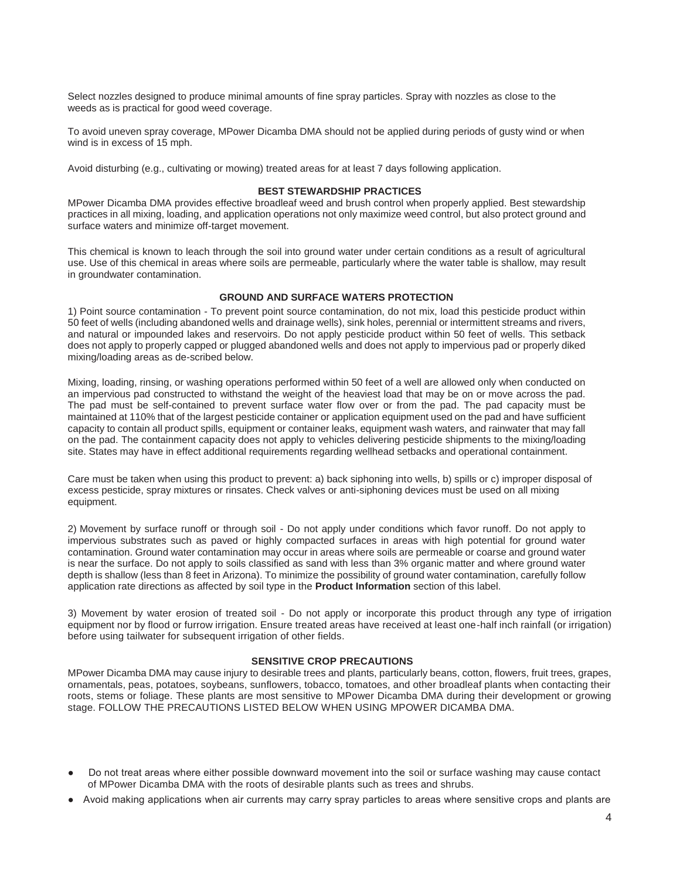Select nozzles designed to produce minimal amounts of fine spray particles. Spray with nozzles as close to the weeds as is practical for good weed coverage.

To avoid uneven spray coverage, MPower Dicamba DMA should not be applied during periods of gusty wind or when wind is in excess of 15 mph.

Avoid disturbing (e.g., cultivating or mowing) treated areas for at least 7 days following application.

#### **BEST STEWARDSHIP PRACTICES**

MPower Dicamba DMA provides effective broadleaf weed and brush control when properly applied. Best stewardship practices in all mixing, loading, and application operations not only maximize weed control, but also protect ground and surface waters and minimize off-target movement.

This chemical is known to leach through the soil into ground water under certain conditions as a result of agricultural use. Use of this chemical in areas where soils are permeable, particularly where the water table is shallow, may result in groundwater contamination.

#### **GROUND AND SURFACE WATERS PROTECTION**

1) Point source contamination - To prevent point source contamination, do not mix, load this pesticide product within 50 feet of wells (including abandoned wells and drainage wells), sink holes, perennial or intermittent streams and rivers, and natural or impounded lakes and reservoirs. Do not apply pesticide product within 50 feet of wells. This setback does not apply to properly capped or plugged abandoned wells and does not apply to impervious pad or properly diked mixing/loading areas as de-scribed below.

Mixing, loading, rinsing, or washing operations performed within 50 feet of a well are allowed only when conducted on an impervious pad constructed to withstand the weight of the heaviest load that may be on or move across the pad. The pad must be self-contained to prevent surface water flow over or from the pad. The pad capacity must be maintained at 110% that of the largest pesticide container or application equipment used on the pad and have sufficient capacity to contain all product spills, equipment or container leaks, equipment wash waters, and rainwater that may fall on the pad. The containment capacity does not apply to vehicles delivering pesticide shipments to the mixing/loading site. States may have in effect additional requirements regarding wellhead setbacks and operational containment.

Care must be taken when using this product to prevent: a) back siphoning into wells, b) spills or c) improper disposal of excess pesticide, spray mixtures or rinsates. Check valves or anti-siphoning devices must be used on all mixing equipment.

2) Movement by surface runoff or through soil - Do not apply under conditions which favor runoff. Do not apply to impervious substrates such as paved or highly compacted surfaces in areas with high potential for ground water contamination. Ground water contamination may occur in areas where soils are permeable or coarse and ground water is near the surface. Do not apply to soils classified as sand with less than 3% organic matter and where ground water depth is shallow (less than 8 feet in Arizona). To minimize the possibility of ground water contamination, carefully follow application rate directions as affected by soil type in the **Product Information** section of this label.

3) Movement by water erosion of treated soil - Do not apply or incorporate this product through any type of irrigation equipment nor by flood or furrow irrigation. Ensure treated areas have received at least one-half inch rainfall (or irrigation) before using tailwater for subsequent irrigation of other fields.

#### **SENSITIVE CROP PRECAUTIONS**

MPower Dicamba DMA may cause injury to desirable trees and plants, particularly beans, cotton, flowers, fruit trees, grapes, ornamentals, peas, potatoes, soybeans, sunflowers, tobacco, tomatoes, and other broadleaf plants when contacting their roots, stems or foliage. These plants are most sensitive to MPower Dicamba DMA during their development or growing stage. FOLLOW THE PRECAUTIONS LISTED BELOW WHEN USING MPOWER DICAMBA DMA.

- Do not treat areas where either possible downward movement into the soil or surface washing may cause contact of MPower Dicamba DMA with the roots of desirable plants such as trees and shrubs.
- Avoid making applications when air currents may carry spray particles to areas where sensitive crops and plants are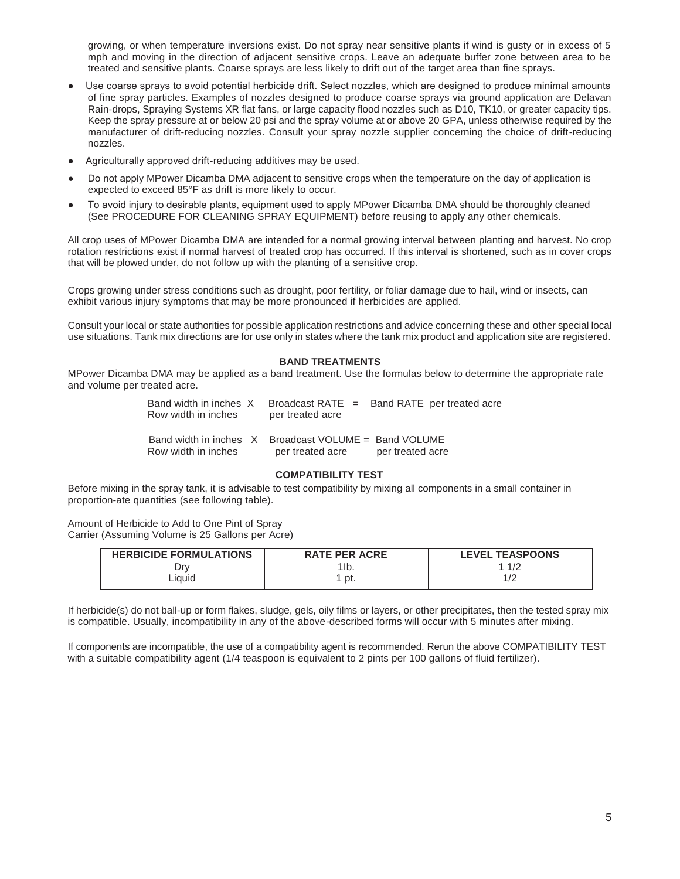growing, or when temperature inversions exist. Do not spray near sensitive plants if wind is gusty or in excess of 5 mph and moving in the direction of adjacent sensitive crops. Leave an adequate buffer zone between area to be treated and sensitive plants. Coarse sprays are less likely to drift out of the target area than fine sprays.

- Use coarse sprays to avoid potential herbicide drift. Select nozzles, which are designed to produce minimal amounts of fine spray particles. Examples of nozzles designed to produce coarse sprays via ground application are Delavan Rain-drops, Spraying Systems XR flat fans, or large capacity flood nozzles such as D10, TK10, or greater capacity tips. Keep the spray pressure at or below 20 psi and the spray volume at or above 20 GPA, unless otherwise required by the manufacturer of drift-reducing nozzles. Consult your spray nozzle supplier concerning the choice of drift-reducing nozzles.
- Agriculturally approved drift-reducing additives may be used.
- Do not apply MPower Dicamba DMA adjacent to sensitive crops when the temperature on the day of application is expected to exceed 85°F as drift is more likely to occur.
- To avoid injury to desirable plants, equipment used to apply MPower Dicamba DMA should be thoroughly cleaned (See PROCEDURE FOR CLEANING SPRAY EQUIPMENT) before reusing to apply any other chemicals.

All crop uses of MPower Dicamba DMA are intended for a normal growing interval between planting and harvest. No crop rotation restrictions exist if normal harvest of treated crop has occurred. If this interval is shortened, such as in cover crops that will be plowed under, do not follow up with the planting of a sensitive crop.

Crops growing under stress conditions such as drought, poor fertility, or foliar damage due to hail, wind or insects, can exhibit various injury symptoms that may be more pronounced if herbicides are applied.

Consult your local or state authorities for possible application restrictions and advice concerning these and other special local use situations. Tank mix directions are for use only in states where the tank mix product and application site are registered.

#### **BAND TREATMENTS**

MPower Dicamba DMA may be applied as a band treatment. Use the formulas below to determine the appropriate rate and volume per treated acre.

> Band width in inches X Broadcast RATE = Band RATE per treated acre Row width in inches per treated acre Band width in inches X Broadcast VOLUME = Band VOLUME Row width in inches per treated acre per treated acre

#### **COMPATIBILITY TEST**

Before mixing in the spray tank, it is advisable to test compatibility by mixing all components in a small container in proportion-ate quantities (see following table).

Amount of Herbicide to Add to One Pint of Spray Carrier (Assuming Volume is 25 Gallons per Acre)

| <b>HERBICIDE FORMULATIONS</b> | <b>RATE PER ACRE</b> | <b>LEVEL TEASPOONS</b> |
|-------------------------------|----------------------|------------------------|
| Drv                           | $1$ lb.              | 1/2                    |
| ∟iauid                        | pt.                  |                        |

If herbicide(s) do not ball-up or form flakes, sludge, gels, oily films or layers, or other precipitates, then the tested spray mix is compatible. Usually, incompatibility in any of the above-described forms will occur with 5 minutes after mixing.

If components are incompatible, the use of a compatibility agent is recommended. Rerun the above COMPATIBILITY TEST with a suitable compatibility agent (1/4 teaspoon is equivalent to 2 pints per 100 gallons of fluid fertilizer).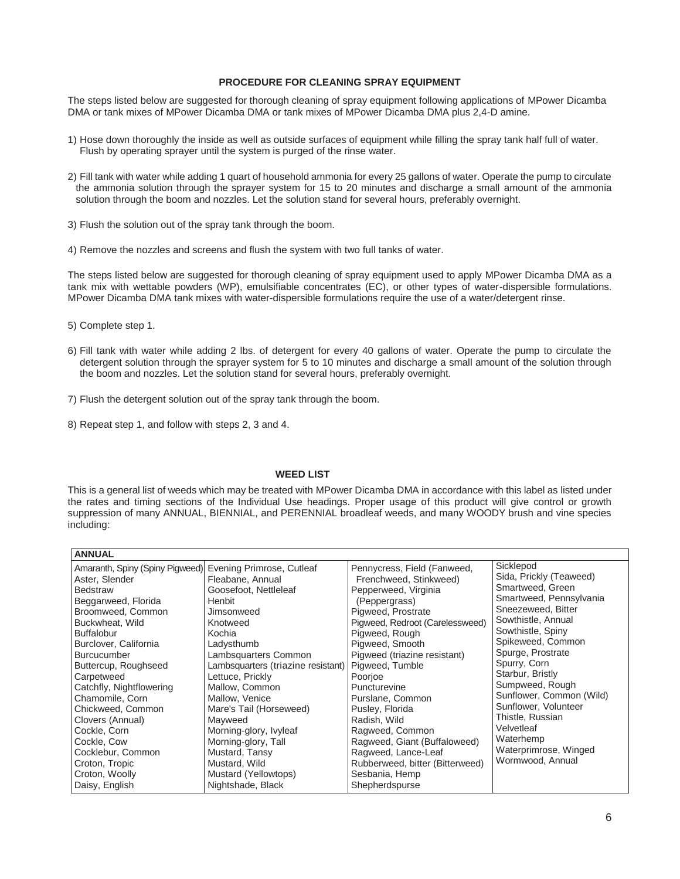#### **PROCEDURE FOR CLEANING SPRAY EQUIPMENT**

The steps listed below are suggested for thorough cleaning of spray equipment following applications of MPower Dicamba DMA or tank mixes of MPower Dicamba DMA or tank mixes of MPower Dicamba DMA plus 2,4-D amine.

- 1) Hose down thoroughly the inside as well as outside surfaces of equipment while filling the spray tank half full of water. Flush by operating sprayer until the system is purged of the rinse water.
- 2) Fill tank with water while adding 1 quart of household ammonia for every 25 gallons of water. Operate the pump to circulate the ammonia solution through the sprayer system for 15 to 20 minutes and discharge a small amount of the ammonia solution through the boom and nozzles. Let the solution stand for several hours, preferably overnight.
- 3) Flush the solution out of the spray tank through the boom.
- 4) Remove the nozzles and screens and flush the system with two full tanks of water.

The steps listed below are suggested for thorough cleaning of spray equipment used to apply MPower Dicamba DMA as a tank mix with wettable powders (WP), emulsifiable concentrates (EC), or other types of water-dispersible formulations. MPower Dicamba DMA tank mixes with water-dispersible formulations require the use of a water/detergent rinse.

- 5) Complete step 1.
- 6) Fill tank with water while adding 2 lbs. of detergent for every 40 gallons of water. Operate the pump to circulate the detergent solution through the sprayer system for 5 to 10 minutes and discharge a small amount of the solution through the boom and nozzles. Let the solution stand for several hours, preferably overnight.
- 7) Flush the detergent solution out of the spray tank through the boom.
- 8) Repeat step 1, and follow with steps 2, 3 and 4.

#### **WEED LIST**

This is a general list of weeds which may be treated with MPower Dicamba DMA in accordance with this label as listed under the rates and timing sections of the Individual Use headings. Proper usage of this product will give control or growth suppression of many ANNUAL, BIENNIAL, and PERENNIAL broadleaf weeds, and many WOODY brush and vine species including: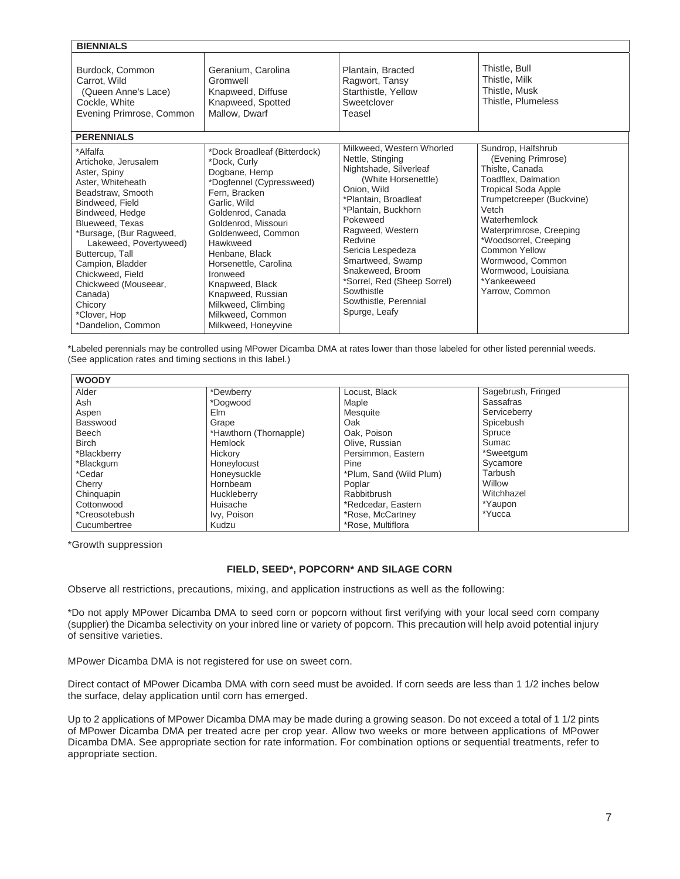| <b>BIENNIALS</b>                                                                                                                                                                                                                                                                                                                                                             |                                                                                                                                                                                                                                                                                                                                                                          |                                                                                                                                                                                                                                                                                                                                                             |                                                                                                                                                                                                                                                                                                                         |
|------------------------------------------------------------------------------------------------------------------------------------------------------------------------------------------------------------------------------------------------------------------------------------------------------------------------------------------------------------------------------|--------------------------------------------------------------------------------------------------------------------------------------------------------------------------------------------------------------------------------------------------------------------------------------------------------------------------------------------------------------------------|-------------------------------------------------------------------------------------------------------------------------------------------------------------------------------------------------------------------------------------------------------------------------------------------------------------------------------------------------------------|-------------------------------------------------------------------------------------------------------------------------------------------------------------------------------------------------------------------------------------------------------------------------------------------------------------------------|
| Burdock, Common<br>Carrot, Wild<br>(Queen Anne's Lace)<br>Cockle, White<br>Evening Primrose, Common                                                                                                                                                                                                                                                                          | Geranium, Carolina<br>Gromwell<br>Knapweed, Diffuse<br>Knapweed, Spotted<br>Mallow, Dwarf                                                                                                                                                                                                                                                                                | Plantain, Bracted<br>Ragwort, Tansy<br>Starthistle, Yellow<br>Sweetclover<br>Teasel                                                                                                                                                                                                                                                                         | Thistle, Bull<br>Thistle, Milk<br>Thistle, Musk<br>Thistle, Plumeless                                                                                                                                                                                                                                                   |
| <b>PERENNIALS</b><br>*Alfalfa<br>Artichoke, Jerusalem<br>Aster, Spiny<br>Aster, Whiteheath<br>Beadstraw, Smooth<br>Bindweed, Field<br>Bindweed, Hedge<br>Blueweed, Texas<br>*Bursage, (Bur Ragweed,<br>Lakeweed, Povertyweed)<br>Buttercup, Tall<br>Campion, Bladder<br>Chickweed, Field<br>Chickweed (Mouseear,<br>Canada)<br>Chicory<br>*Clover, Hop<br>*Dandelion, Common | *Dock Broadleaf (Bitterdock)<br>*Dock, Curly<br>Dogbane, Hemp<br>*Dogfennel (Cypressweed)<br>Fern, Bracken<br>Garlic, Wild<br>Goldenrod, Canada<br>Goldenrod, Missouri<br>Goldenweed, Common<br>Hawkweed<br>Henbane, Black<br>Horsenettle, Carolina<br>Ironweed<br>Knapweed, Black<br>Knapweed, Russian<br>Milkweed, Climbing<br>Milkweed, Common<br>Milkweed, Honeyvine | Milkweed, Western Whorled<br>Nettle, Stinging<br>Nightshade, Silverleaf<br>(White Horsenettle)<br>Onion, Wild<br>*Plantain, Broadleaf<br>*Plantain, Buckhorn<br>Pokeweed<br>Ragweed, Western<br>Redvine<br>Sericia Lespedeza<br>Smartweed, Swamp<br>Snakeweed, Broom<br>*Sorrel, Red (Sheep Sorrel)<br>Sowthistle<br>Sowthistle, Perennial<br>Spurge, Leafy | Sundrop, Halfshrub<br>(Evening Primrose)<br>Thislte, Canada<br>Toadflex, Dalmation<br><b>Tropical Soda Apple</b><br>Trumpetcreeper (Buckvine)<br>Vetch<br>Waterhemlock<br>Waterprimrose, Creeping<br>*Woodsorrel, Creeping<br>Common Yellow<br>Wormwood, Common<br>Wormwood, Louisiana<br>*Yankeeweed<br>Yarrow, Common |

\*Labeled perennials may be controlled using MPower Dicamba DMA at rates lower than those labeled for other listed perennial weeds. (See application rates and timing sections in this label.)

| <b>WOODY</b>  |                        |                         |                    |
|---------------|------------------------|-------------------------|--------------------|
| Alder         | *Dewberry              | Locust, Black           | Sagebrush, Fringed |
| Ash           | *Dogwood               | Maple                   | <b>Sassafras</b>   |
| Aspen         | Elm                    | Mesquite                | Serviceberry       |
| Basswood      | Grape                  | Oak                     | Spicebush          |
| Beech         | *Hawthorn (Thornapple) | Oak, Poison             | Spruce             |
| <b>Birch</b>  | Hemlock                | Olive, Russian          | Sumac              |
| *Blackberry   | Hickory                | Persimmon, Eastern      | *Sweetgum          |
| *Blackgum     | Honeylocust            | Pine                    | Sycamore           |
| *Cedar        | Honeysuckle            | *Plum, Sand (Wild Plum) | Tarbush            |
| Cherry        | Hornbeam               | Poplar                  | Willow             |
| Chinguapin    | Huckleberry            | Rabbitbrush             | Witchhazel         |
| Cottonwood    | Huisache               | *Redcedar, Eastern      | *Yaupon            |
| *Creosotebush | Ivy, Poison            | *Rose, McCartney        | *Yucca             |
| Cucumbertree  | Kudzu                  | *Rose, Multiflora       |                    |

\*Growth suppression

### **FIELD, SEED\*, POPCORN\* AND SILAGE CORN**

Observe all restrictions, precautions, mixing, and application instructions as well as the following:

\*Do not apply MPower Dicamba DMA to seed corn or popcorn without first verifying with your local seed corn company (supplier) the Dicamba selectivity on your inbred line or variety of popcorn. This precaution will help avoid potential injury of sensitive varieties.

MPower Dicamba DMA is not registered for use on sweet corn.

Direct contact of MPower Dicamba DMA with corn seed must be avoided. If corn seeds are less than 1 1/2 inches below the surface, delay application until corn has emerged.

Up to 2 applications of MPower Dicamba DMA may be made during a growing season. Do not exceed a total of 1 1/2 pints of MPower Dicamba DMA per treated acre per crop year. Allow two weeks or more between applications of MPower Dicamba DMA. See appropriate section for rate information. For combination options or sequential treatments, refer to appropriate section.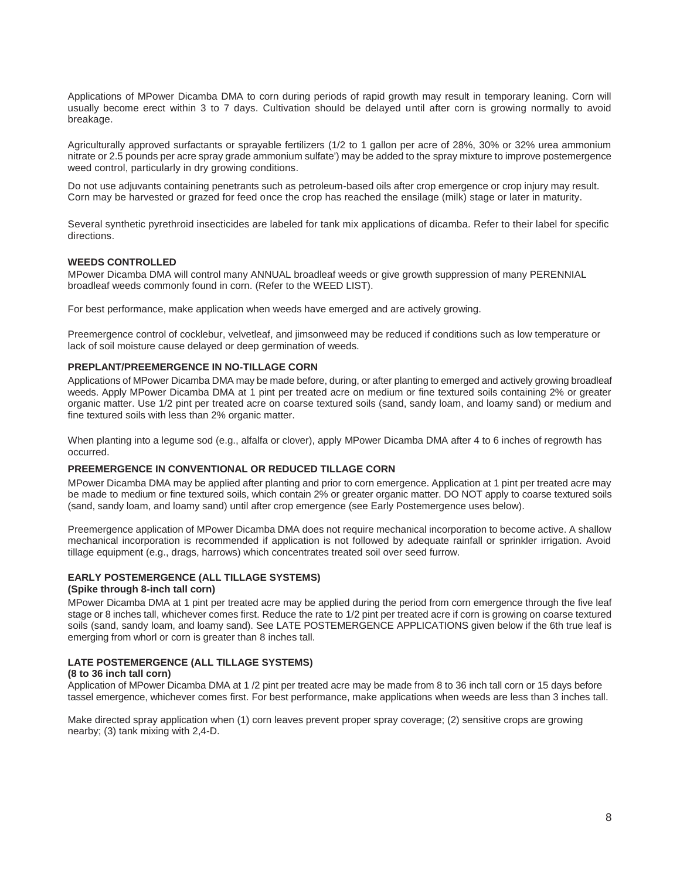Applications of MPower Dicamba DMA to corn during periods of rapid growth may result in temporary leaning. Corn will usually become erect within 3 to 7 days. Cultivation should be delayed until after corn is growing normally to avoid breakage.

Agriculturally approved surfactants or sprayable fertilizers (1/2 to 1 gallon per acre of 28%, 30% or 32% urea ammonium nitrate or 2.5 pounds per acre spray grade ammonium sulfate') may be added to the spray mixture to improve postemergence weed control, particularly in dry growing conditions.

Do not use adjuvants containing penetrants such as petroleum-based oils after crop emergence or crop injury may result. Corn may be harvested or grazed for feed once the crop has reached the ensilage (milk) stage or later in maturity.

Several synthetic pyrethroid insecticides are labeled for tank mix applications of dicamba. Refer to their label for specific directions.

#### **WEEDS CONTROLLED**

MPower Dicamba DMA will control many ANNUAL broadleaf weeds or give growth suppression of many PERENNIAL broadleaf weeds commonly found in corn. (Refer to the WEED LIST).

For best performance, make application when weeds have emerged and are actively growing.

Preemergence control of cocklebur, velvetleaf, and jimsonweed may be reduced if conditions such as low temperature or lack of soil moisture cause delayed or deep germination of weeds.

#### **PREPLANT/PREEMERGENCE IN NO-TILLAGE CORN**

Applications of MPower Dicamba DMA may be made before, during, or after planting to emerged and actively growing broadleaf weeds. Apply MPower Dicamba DMA at 1 pint per treated acre on medium or fine textured soils containing 2% or greater organic matter. Use 1/2 pint per treated acre on coarse textured soils (sand, sandy loam, and loamy sand) or medium and fine textured soils with less than 2% organic matter.

When planting into a legume sod (e.g., alfalfa or clover), apply MPower Dicamba DMA after 4 to 6 inches of regrowth has occurred.

#### **PREEMERGENCE IN CONVENTIONAL OR REDUCED TILLAGE CORN**

MPower Dicamba DMA may be applied after planting and prior to corn emergence. Application at 1 pint per treated acre may be made to medium or fine textured soils, which contain 2% or greater organic matter. DO NOT apply to coarse textured soils (sand, sandy loam, and loamy sand) until after crop emergence (see Early Postemergence uses below).

Preemergence application of MPower Dicamba DMA does not require mechanical incorporation to become active. A shallow mechanical incorporation is recommended if application is not followed by adequate rainfall or sprinkler irrigation. Avoid tillage equipment (e.g., drags, harrows) which concentrates treated soil over seed furrow.

#### **EARLY POSTEMERGENCE (ALL TILLAGE SYSTEMS)**

#### **(Spike through 8-inch tall corn)**

MPower Dicamba DMA at 1 pint per treated acre may be applied during the period from corn emergence through the five leaf stage or 8 inches tall, whichever comes first. Reduce the rate to 1/2 pint per treated acre if corn is growing on coarse textured soils (sand, sandy loam, and loamy sand). See LATE POSTEMERGENCE APPLICATIONS given below if the 6th true leaf is emerging from whorl or corn is greater than 8 inches tall.

#### **LATE POSTEMERGENCE (ALL TILLAGE SYSTEMS)**

#### **(8 to 36 inch tall corn)**

Application of MPower Dicamba DMA at 1 /2 pint per treated acre may be made from 8 to 36 inch tall corn or 15 days before tassel emergence, whichever comes first. For best performance, make applications when weeds are less than 3 inches tall.

Make directed spray application when (1) corn leaves prevent proper spray coverage; (2) sensitive crops are growing nearby; (3) tank mixing with 2,4-D.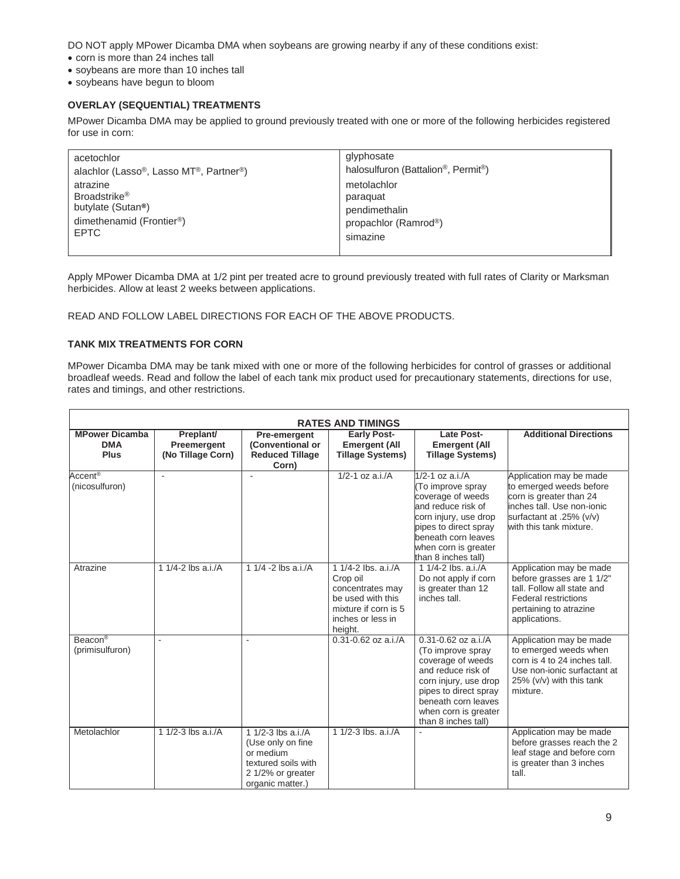DO NOT apply MPower Dicamba DMA when soybeans are growing nearby if any of these conditions exist:

- corn is more than 24 inches tall
- soybeans are more than 10 inches tall
- soybeans have begun to bloom

### **OVERLAY (SEQUENTIAL) TREATMENTS**

MPower Dicamba DMA may be applied to ground previously treated with one or more of the following herbicides registered for use in corn:

| acetochlor                             | glyphosate                         |
|----------------------------------------|------------------------------------|
| alachlor (Lasso®, Lasso MT®, Partner®) | halosulfuron (Battalion®, Permit®) |
| atrazine                               | metolachlor                        |
| Broadstrike <sup>®</sup>               | paraguat                           |
| butylate (Sutan <sup>®</sup> )         | pendimethalin                      |
| dimethenamid (Frontier®)               | propachlor (Ramrod®)               |
| <b>EPTC</b>                            | simazine                           |

Apply MPower Dicamba DMA at 1/2 pint per treated acre to ground previously treated with full rates of Clarity or Marksman herbicides. Allow at least 2 weeks between applications.

READ AND FOLLOW LABEL DIRECTIONS FOR EACH OF THE ABOVE PRODUCTS.

### **TANK MIX TREATMENTS FOR CORN**

MPower Dicamba DMA may be tank mixed with one or more of the following herbicides for control of grasses or additional broadleaf weeds. Read and follow the label of each tank mix product used for precautionary statements, directions for use, rates and timings, and other restrictions.

| <b>RATES AND TIMINGS</b>                           |                                               |                                                                                                                           |                                                                                                                                  |                                                                                                                                                                                                                 |                                                                                                                                                                    |
|----------------------------------------------------|-----------------------------------------------|---------------------------------------------------------------------------------------------------------------------------|----------------------------------------------------------------------------------------------------------------------------------|-----------------------------------------------------------------------------------------------------------------------------------------------------------------------------------------------------------------|--------------------------------------------------------------------------------------------------------------------------------------------------------------------|
| <b>MPower Dicamba</b><br><b>DMA</b><br><b>Plus</b> | Preplant/<br>Preemergent<br>(No Tillage Corn) | Pre-emergent<br>(Conventional or<br><b>Reduced Tillage</b><br>Corn)                                                       | <b>Early Post-</b><br><b>Emergent (All</b><br><b>Tillage Systems)</b>                                                            | <b>Late Post-</b><br><b>Emergent (All</b><br><b>Tillage Systems)</b>                                                                                                                                            | <b>Additional Directions</b>                                                                                                                                       |
| Accent <sup>®</sup><br>(nicosulfuron)              |                                               |                                                                                                                           | $1/2 - 1$ oz a.i./A                                                                                                              | $1/2 - 1$ oz a.i./A<br>(To improve spray<br>coverage of weeds<br>and reduce risk of<br>corn injury, use drop<br>pipes to direct spray<br>beneath corn leaves<br>when corn is greater<br>than 8 inches tall)     | Application may be made<br>to emerged weeds before<br>corn is greater than 24<br>inches tall. Use non-ionic<br>surfactant at .25% (v/v)<br>with this tank mixture. |
| Atrazine                                           | 1 1/4-2 lbs a.i./A                            | 1 1/4 -2 lbs a.i./A                                                                                                       | 1 1/4-2 lbs. a.i./A<br>Crop oil<br>concentrates may<br>be used with this<br>mixture if corn is 5<br>inches or less in<br>height. | 1 $1/4 - 2$ lbs. a.i./A<br>Do not apply if corn<br>is greater than 12<br>inches tall.                                                                                                                           | Application may be made<br>before grasses are 1 1/2"<br>tall. Follow all state and<br><b>Federal restrictions</b><br>pertaining to atrazine<br>applications.       |
| Beacon®<br>(primisulfuron)                         |                                               |                                                                                                                           | $0.31 - 0.62$ oz a.i./A                                                                                                          | $0.31 - 0.62$ oz a.i./A<br>(To improve spray<br>coverage of weeds<br>and reduce risk of<br>corn injury, use drop<br>pipes to direct spray<br>beneath corn leaves<br>when corn is greater<br>than 8 inches tall) | Application may be made<br>to emerged weeds when<br>corn is 4 to 24 inches tall.<br>Use non-ionic surfactant at<br>$25\%$ ( $v/v$ ) with this tank<br>mixture.     |
| Metolachlor                                        | 1 1/2-3 lbs a.i./A                            | 1 $1/2 - 3$ lbs a.i./A<br>(Use only on fine)<br>or medium<br>textured soils with<br>2 1/2% or greater<br>organic matter.) | 1 1/2-3 lbs. a.i./A                                                                                                              |                                                                                                                                                                                                                 | Application may be made<br>before grasses reach the 2<br>leaf stage and before corn<br>is greater than 3 inches<br>tall.                                           |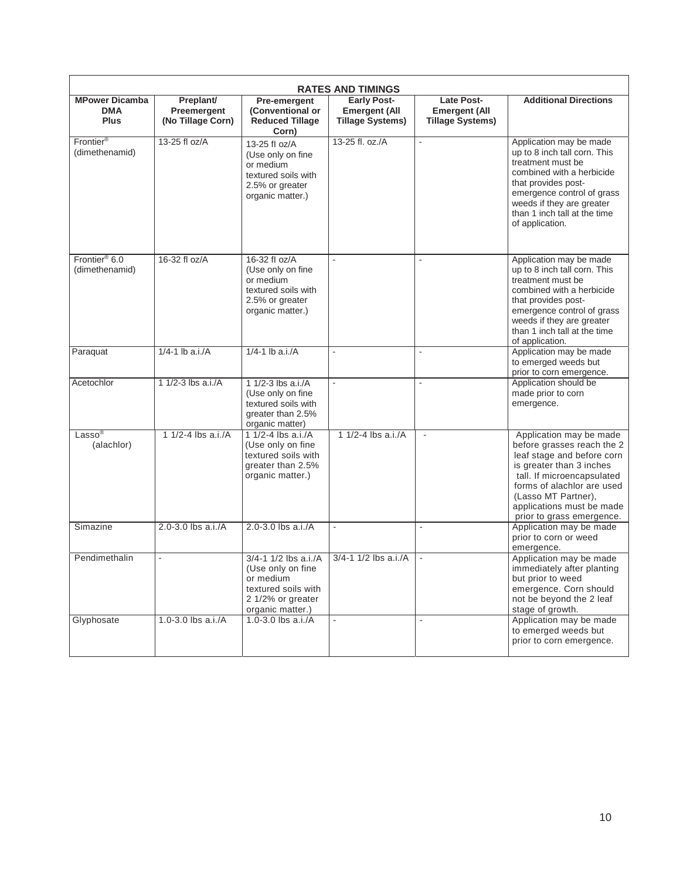| <b>RATES AND TIMINGS</b>                           |                                               |                                                                                                                         |                                                                       |                                                               |                                                                                                                                                                                                                                                              |
|----------------------------------------------------|-----------------------------------------------|-------------------------------------------------------------------------------------------------------------------------|-----------------------------------------------------------------------|---------------------------------------------------------------|--------------------------------------------------------------------------------------------------------------------------------------------------------------------------------------------------------------------------------------------------------------|
| <b>MPower Dicamba</b><br><b>DMA</b><br><b>Plus</b> | Preplant/<br>Preemergent<br>(No Tillage Corn) | Pre-emergent<br>(Conventional or<br><b>Reduced Tillage</b><br>Corn)                                                     | <b>Early Post-</b><br><b>Emergent (All</b><br><b>Tillage Systems)</b> | Late Post-<br><b>Emergent (All</b><br><b>Tillage Systems)</b> | <b>Additional Directions</b>                                                                                                                                                                                                                                 |
| Frontier <sup>®</sup><br>(dimethenamid)            | 13-25 fl oz/A                                 | 13-25 fl oz/A<br>(Use only on fine<br>or medium<br>textured soils with<br>2.5% or greater<br>organic matter.)           | 13-25 fl. oz./A                                                       | $\overline{\phantom{a}}$                                      | Application may be made<br>up to 8 inch tall corn. This<br>treatment must be<br>combined with a herbicide<br>that provides post-<br>emergence control of grass<br>weeds if they are greater<br>than 1 inch tall at the time<br>of application.               |
| Frontier <sup>®</sup> 6.0<br>(dimethenamid)        | 16-32 fl oz/A                                 | 16-32 fl oz/A<br>(Use only on fine<br>or medium<br>textured soils with<br>2.5% or greater<br>organic matter.)           | $\sim$                                                                |                                                               | Application may be made<br>up to 8 inch tall corn. This<br>treatment must be<br>combined with a herbicide<br>that provides post-<br>emergence control of grass<br>weeds if they are greater<br>than 1 inch tall at the time<br>of application.               |
| Paraquat                                           | 1/4-1 $\ln$ a.i./A                            | $1/4 - 1$ lb a.i./A                                                                                                     |                                                                       |                                                               | Application may be made<br>to emerged weeds but<br>prior to corn emergence.                                                                                                                                                                                  |
| Acetochlor                                         | 1 1/2-3 lbs a.i./A                            | 1 1/2-3 lbs a.i./A<br>(Use only on fine<br>textured soils with<br>greater than 2.5%<br>organic matter)                  |                                                                       |                                                               | Application should be<br>made prior to corn<br>emergence.                                                                                                                                                                                                    |
| $Lasso^{\circledR}$<br>(alachlor)                  | 1 $1/2 - 4$ lbs a.i./A                        | 1 1/2-4 lbs a.i./A<br>(Use only on fine<br>textured soils with<br>greater than 2.5%<br>organic matter.)                 | 1 1/2-4 lbs $a.i.A$                                                   | $\mathbf{r}$                                                  | Application may be made<br>before grasses reach the 2<br>leaf stage and before corn<br>is greater than 3 inches<br>tall. If microencapsulated<br>forms of alachlor are used<br>(Lasso MT Partner),<br>applications must be made<br>prior to grass emergence. |
| Simazine                                           | 2.0-3.0 lbs a.i./A                            | 2.0-3.0 lbs a.i./A                                                                                                      | $\mathbf{r}$                                                          | $\blacksquare$                                                | Application may be made<br>prior to corn or weed<br>emergence.                                                                                                                                                                                               |
| Pendimethalin                                      | $\mathbf{r}$                                  | 3/4-1 1/2 lbs a.i./A<br>(Use only on fine)<br>or medium<br>textured soils with<br>2 1/2% or greater<br>organic matter.) | $3/4 - 1$ 1/2 lbs a.i./A                                              | $\mathbf{r}$                                                  | Application may be made<br>immediately after planting<br>but prior to weed<br>emergence. Corn should<br>not be beyond the 2 leaf<br>stage of growth.                                                                                                         |
| Glyphosate                                         | 1.0-3.0 lbs a.i./A                            | 1.0-3.0 lbs a.i./A                                                                                                      | $\mathbf{r}$                                                          | ÷.                                                            | Application may be made<br>to emerged weeds but<br>prior to corn emergence.                                                                                                                                                                                  |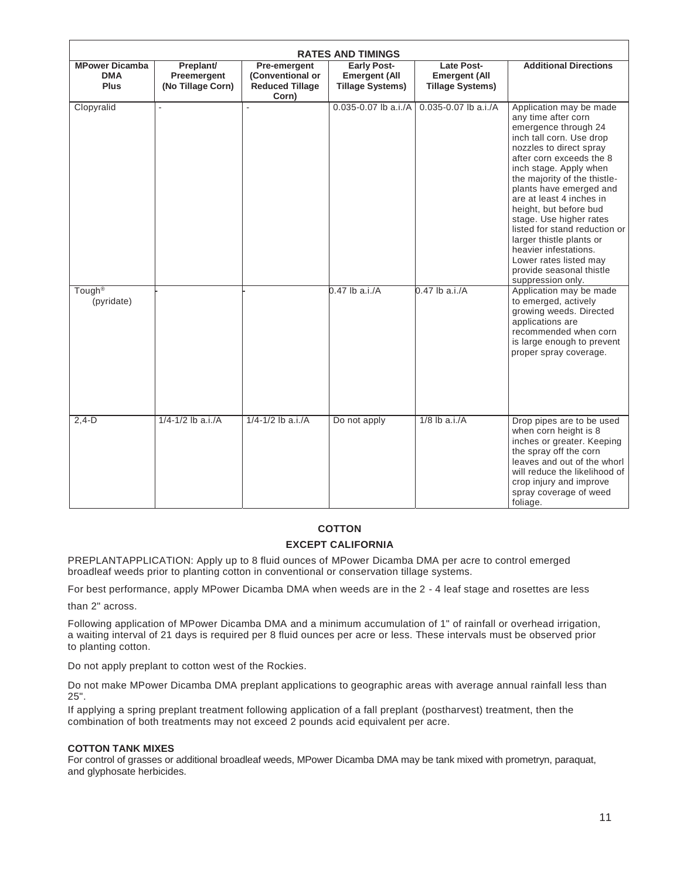| <b>RATES AND TIMINGS</b>                           |                                               |                                                                     |                                                                       |                                                                      |                                                                                                                                                                                                                                                                                                                                                                                                                                                                                                  |
|----------------------------------------------------|-----------------------------------------------|---------------------------------------------------------------------|-----------------------------------------------------------------------|----------------------------------------------------------------------|--------------------------------------------------------------------------------------------------------------------------------------------------------------------------------------------------------------------------------------------------------------------------------------------------------------------------------------------------------------------------------------------------------------------------------------------------------------------------------------------------|
| <b>MPower Dicamba</b><br><b>DMA</b><br><b>Plus</b> | Preplant/<br>Preemergent<br>(No Tillage Corn) | Pre-emergent<br>(Conventional or<br><b>Reduced Tillage</b><br>Corn) | <b>Early Post-</b><br><b>Emergent (All</b><br><b>Tillage Systems)</b> | <b>Late Post-</b><br><b>Emergent (All</b><br><b>Tillage Systems)</b> | <b>Additional Directions</b>                                                                                                                                                                                                                                                                                                                                                                                                                                                                     |
| Clopyralid                                         |                                               |                                                                     | 0.035-0.07 lb a.i./A                                                  | 0.035-0.07 lb a.i./A                                                 | Application may be made<br>any time after corn<br>emergence through 24<br>inch tall corn. Use drop<br>nozzles to direct spray<br>after corn exceeds the 8<br>inch stage. Apply when<br>the majority of the thistle-<br>plants have emerged and<br>are at least 4 inches in<br>height, but before bud<br>stage. Use higher rates<br>listed for stand reduction or<br>larger thistle plants or<br>heavier infestations.<br>Lower rates listed may<br>provide seasonal thistle<br>suppression only. |
| Tough <sup>®</sup><br>(pyridate)                   |                                               |                                                                     | $0.47$ lb a.i./A                                                      | $0.47$ lb a.i./A                                                     | Application may be made<br>to emerged, actively<br>growing weeds. Directed<br>applications are<br>recommended when corn<br>is large enough to prevent<br>proper spray coverage.                                                                                                                                                                                                                                                                                                                  |
| $2,4-D$                                            | $1/4 - 1/2$ lb a.i./A                         | $1/4 - 1/2$ lb a.i./A                                               | Do not apply                                                          | $1/8$ lb a.i./A                                                      | Drop pipes are to be used<br>when corn height is 8<br>inches or greater. Keeping<br>the spray off the corn<br>leaves and out of the whorl<br>will reduce the likelihood of<br>crop injury and improve<br>spray coverage of weed<br>foliage.                                                                                                                                                                                                                                                      |

# **COTTON EXCEPT CALIFORNIA**

PREPLANTAPPLICATION: Apply up to 8 fluid ounces of MPower Dicamba DMA per acre to control emerged broadleaf weeds prior to planting cotton in conventional or conservation tillage systems.

For best performance, apply MPower Dicamba DMA when weeds are in the 2 - 4 leaf stage and rosettes are less

than 2" across.

Following application of MPower Dicamba DMA and a minimum accumulation of 1" of rainfall or overhead irrigation, a waiting interval of 21 days is required per 8 fluid ounces per acre or less. These intervals must be observed prior to planting cotton.

Do not apply preplant to cotton west of the Rockies.

Do not make MPower Dicamba DMA preplant applications to geographic areas with average annual rainfall less than 25".

If applying a spring preplant treatment following application of a fall preplant (postharvest) treatment, then the combination of both treatments may not exceed 2 pounds acid equivalent per acre.

#### **COTTON TANK MIXES**

For control of grasses or additional broadleaf weeds, MPower Dicamba DMA may be tank mixed with prometryn, paraquat, and glyphosate herbicides.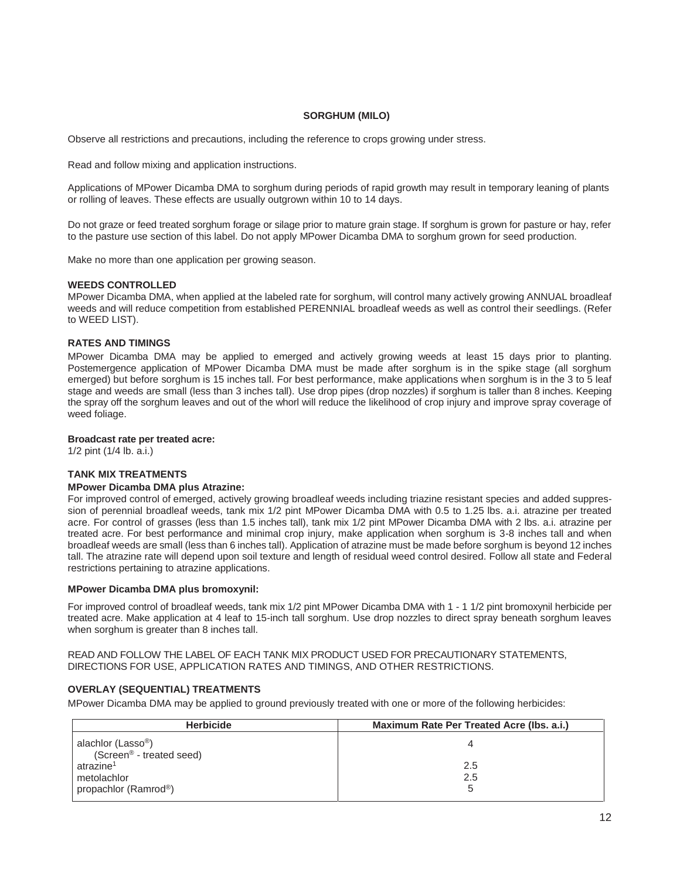#### **SORGHUM (MILO)**

Observe all restrictions and precautions, including the reference to crops growing under stress.

Read and follow mixing and application instructions.

Applications of MPower Dicamba DMA to sorghum during periods of rapid growth may result in temporary leaning of plants or rolling of leaves. These effects are usually outgrown within 10 to 14 days.

Do not graze or feed treated sorghum forage or silage prior to mature grain stage. If sorghum is grown for pasture or hay, refer to the pasture use section of this label. Do not apply MPower Dicamba DMA to sorghum grown for seed production.

Make no more than one application per growing season.

#### **WEEDS CONTROLLED**

MPower Dicamba DMA, when applied at the labeled rate for sorghum, will control many actively growing ANNUAL broadleaf weeds and will reduce competition from established PERENNIAL broadleaf weeds as well as control their seedlings. (Refer to WEED LIST).

#### **RATES AND TIMINGS**

MPower Dicamba DMA may be applied to emerged and actively growing weeds at least 15 days prior to planting. Postemergence application of MPower Dicamba DMA must be made after sorghum is in the spike stage (all sorghum emerged) but before sorghum is 15 inches tall. For best performance, make applications when sorghum is in the 3 to 5 leaf stage and weeds are small (less than 3 inches tall). Use drop pipes (drop nozzles) if sorghum is taller than 8 inches. Keeping the spray off the sorghum leaves and out of the whorl will reduce the likelihood of crop injury and improve spray coverage of weed foliage.

#### **Broadcast rate per treated acre:**

1/2 pint (1/4 lb. a.i.)

#### **TANK MIX TREATMENTS**

#### **MPower Dicamba DMA plus Atrazine:**

For improved control of emerged, actively growing broadleaf weeds including triazine resistant species and added suppression of perennial broadleaf weeds, tank mix 1/2 pint MPower Dicamba DMA with 0.5 to 1.25 lbs. a.i. atrazine per treated acre. For control of grasses (less than 1.5 inches tall), tank mix 1/2 pint MPower Dicamba DMA with 2 lbs. a.i. atrazine per treated acre. For best performance and minimal crop injury, make application when sorghum is 3-8 inches tall and when broadleaf weeds are small (less than 6 inches tall). Application of atrazine must be made before sorghum is beyond 12 inches tall. The atrazine rate will depend upon soil texture and length of residual weed control desired. Follow all state and Federal restrictions pertaining to atrazine applications.

#### **MPower Dicamba DMA plus bromoxynil:**

For improved control of broadleaf weeds, tank mix 1/2 pint MPower Dicamba DMA with 1 - 1 1/2 pint bromoxynil herbicide per treated acre. Make application at 4 leaf to 15-inch tall sorghum. Use drop nozzles to direct spray beneath sorghum leaves when sorghum is greater than 8 inches tall.

READ AND FOLLOW THE LABEL OF EACH TANK MIX PRODUCT USED FOR PRECAUTIONARY STATEMENTS, DIRECTIONS FOR USE, APPLICATION RATES AND TIMINGS, AND OTHER RESTRICTIONS.

#### **OVERLAY (SEQUENTIAL) TREATMENTS**

MPower Dicamba DMA may be applied to ground previously treated with one or more of the following herbicides:

| <b>Herbicide</b>                                                       | Maximum Rate Per Treated Acre (Ibs. a.i.) |
|------------------------------------------------------------------------|-------------------------------------------|
| alachlor (Lasso <sup>®</sup> )<br>(Screen <sup>®</sup> - treated seed) |                                           |
| atrazine <sup>1</sup>                                                  | 2.5                                       |
| metolachlor                                                            | 2.5                                       |
| propachlor (Ramrod <sup>®</sup> )                                      | b                                         |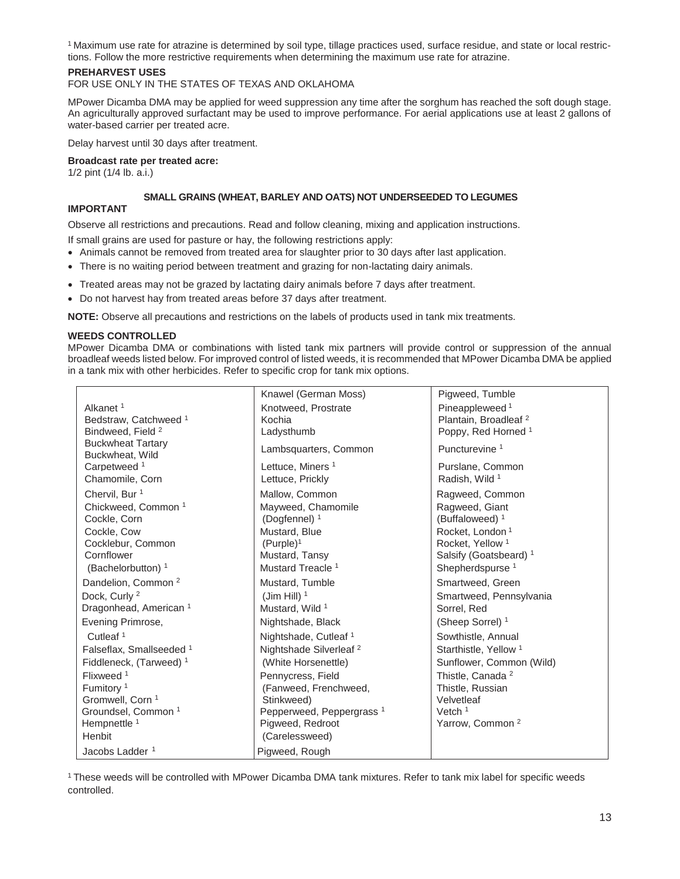1 Maximum use rate for atrazine is determined by soil type, tillage practices used, surface residue, and state or local restrictions. Follow the more restrictive requirements when determining the maximum use rate for atrazine.

#### **PREHARVEST USES**

FOR USE ONLY IN THE STATES OF TEXAS AND OKLAHOMA

MPower Dicamba DMA may be applied for weed suppression any time after the sorghum has reached the soft dough stage. An agriculturally approved surfactant may be used to improve performance. For aerial applications use at least 2 gallons of water-based carrier per treated acre.

Delay harvest until 30 days after treatment.

**Broadcast rate per treated acre:** 

1/2 pint (1/4 lb. a.i.)

#### **SMALL GRAINS (WHEAT, BARLEY AND OATS) NOT UNDERSEEDED TO LEGUMES**

#### **IMPORTANT**

Observe all restrictions and precautions. Read and follow cleaning, mixing and application instructions.

- If small grains are used for pasture or hay, the following restrictions apply:
- Animals cannot be removed from treated area for slaughter prior to 30 days after last application.
- There is no waiting period between treatment and grazing for non-lactating dairy animals.
- Treated areas may not be grazed by lactating dairy animals before 7 days after treatment.
- Do not harvest hay from treated areas before 37 days after treatment.

**NOTE:** Observe all precautions and restrictions on the labels of products used in tank mix treatments.

#### **WEEDS CONTROLLED**

MPower Dicamba DMA or combinations with listed tank mix partners will provide control or suppression of the annual broadleaf weeds listed below. For improved control of listed weeds, it is recommended that MPower Dicamba DMA be applied in a tank mix with other herbicides. Refer to specific crop for tank mix options.

|                                     | Knawel (German Moss)                 | Pigweed, Tumble                   |
|-------------------------------------|--------------------------------------|-----------------------------------|
| Alkanet <sup>1</sup>                | Knotweed, Prostrate                  | Pineappleweed <sup>1</sup>        |
| Bedstraw, Catchweed <sup>1</sup>    | Kochia                               | Plantain, Broadleaf <sup>2</sup>  |
| Bindweed, Field <sup>2</sup>        | Ladysthumb                           | Poppy, Red Horned <sup>1</sup>    |
| <b>Buckwheat Tartary</b>            | Lambsquarters, Common                | Puncturevine <sup>1</sup>         |
| Buckwheat, Wild                     |                                      |                                   |
| Carpetweed <sup>1</sup>             | Lettuce, Miners <sup>1</sup>         | Purslane, Common                  |
| Chamomile, Corn                     | Lettuce, Prickly                     | Radish, Wild 1                    |
| Chervil, Bur <sup>1</sup>           | Mallow, Common                       | Ragweed, Common                   |
| Chickweed, Common <sup>1</sup>      | Mayweed, Chamomile                   | Ragweed, Giant                    |
| Cockle, Corn                        | (Dogfennel) $1$                      | (Buffaloweed) $1$                 |
| Cockle, Cow                         | Mustard, Blue                        | Rocket, London <sup>1</sup>       |
| Cocklebur, Common                   | (Purple) <sup>1</sup>                | Rocket. Yellow <sup>1</sup>       |
| Cornflower                          | Mustard, Tansy                       | Salsify (Goatsbeard) <sup>1</sup> |
| (Bachelorbutton) <sup>1</sup>       | Mustard Treacle <sup>1</sup>         | Shepherdspurse <sup>1</sup>       |
| Dandelion, Common <sup>2</sup>      | Mustard, Tumble                      | Smartweed, Green                  |
| Dock, Curly <sup>2</sup>            | (Jim Hill) $1$                       | Smartweed, Pennsylvania           |
| Dragonhead, American <sup>1</sup>   | Mustard, Wild 1                      | Sorrel, Red                       |
| Evening Primrose,                   | Nightshade, Black                    | (Sheep Sorrel) <sup>1</sup>       |
| Cutleaf <sup>1</sup>                | Nightshade, Cutleaf <sup>1</sup>     | Sowthistle, Annual                |
| Falseflax, Smallseeded <sup>1</sup> | Nightshade Silverleaf <sup>2</sup>   | Starthistle, Yellow <sup>1</sup>  |
| Fiddleneck, (Tarweed) <sup>1</sup>  | (White Horsenettle)                  | Sunflower, Common (Wild)          |
| Flixweed <sup>1</sup>               | Pennycress, Field                    | Thistle, Canada <sup>2</sup>      |
| Fumitory <sup>1</sup>               | (Fanweed, Frenchweed,                | Thistle, Russian                  |
| Gromwell, Corn 1                    | Stinkweed)                           | Velvetleaf                        |
| Groundsel, Common <sup>1</sup>      | Pepperweed, Peppergrass <sup>1</sup> | Vetch $1$                         |
| Hempnettle 1                        | Pigweed, Redroot                     | Yarrow, Common <sup>2</sup>       |
| Henbit                              | (Carelessweed)                       |                                   |
| Jacobs Ladder <sup>1</sup>          | Pigweed, Rough                       |                                   |

1 These weeds will be controlled with MPower Dicamba DMA tank mixtures. Refer to tank mix label for specific weeds controlled.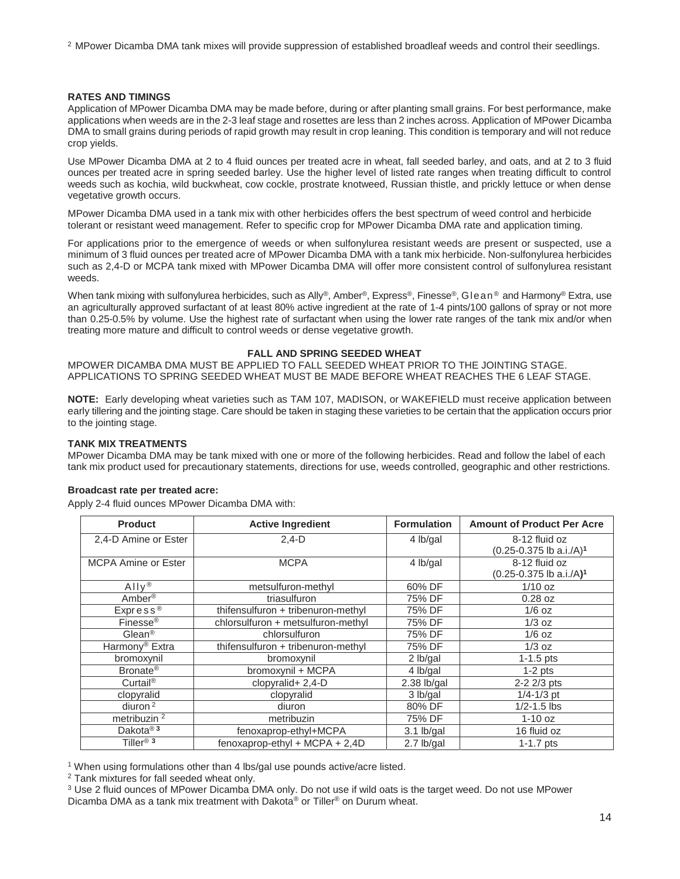2 MPower Dicamba DMA tank mixes will provide suppression of established broadleaf weeds and control their seedlings.

#### **RATES AND TIMINGS**

Application of MPower Dicamba DMA may be made before, during or after planting small grains. For best performance, make applications when weeds are in the 2-3 leaf stage and rosettes are less than 2 inches across. Application of MPower Dicamba DMA to small grains during periods of rapid growth may result in crop leaning. This condition is temporary and will not reduce crop yields.

Use MPower Dicamba DMA at 2 to 4 fluid ounces per treated acre in wheat, fall seeded barley, and oats, and at 2 to 3 fluid ounces per treated acre in spring seeded barley. Use the higher level of listed rate ranges when treating difficult to control weeds such as kochia, wild buckwheat, cow cockle, prostrate knotweed, Russian thistle, and prickly lettuce or when dense vegetative growth occurs.

MPower Dicamba DMA used in a tank mix with other herbicides offers the best spectrum of weed control and herbicide tolerant or resistant weed management. Refer to specific crop for MPower Dicamba DMA rate and application timing.

For applications prior to the emergence of weeds or when sulfonylurea resistant weeds are present or suspected, use a minimum of 3 fluid ounces per treated acre of MPower Dicamba DMA with a tank mix herbicide. Non-sulfonylurea herbicides such as 2,4-D or MCPA tank mixed with MPower Dicamba DMA will offer more consistent control of sulfonylurea resistant weeds.

When tank mixing with sulfonylurea herbicides, such as Ally®, Amber®, Express®, Finesse®, Glean® and Harmony® Extra, use an agriculturally approved surfactant of at least 80% active ingredient at the rate of 1-4 pints/100 gallons of spray or not more than 0.25-0.5% by volume. Use the highest rate of surfactant when using the lower rate ranges of the tank mix and/or when treating more mature and difficult to control weeds or dense vegetative growth.

#### **FALL AND SPRING SEEDED WHEAT**

MPOWER DICAMBA DMA MUST BE APPLIED TO FALL SEEDED WHEAT PRIOR TO THE JOINTING STAGE. APPLICATIONS TO SPRING SEEDED WHEAT MUST BE MADE BEFORE WHEAT REACHES THE 6 LEAF STAGE.

**NOTE:** Early developing wheat varieties such as TAM 107, MADISON, or WAKEFIELD must receive application between early tillering and the jointing stage. Care should be taken in staging these varieties to be certain that the application occurs prior to the jointing stage.

#### **TANK MIX TREATMENTS**

MPower Dicamba DMA may be tank mixed with one or more of the following herbicides. Read and follow the label of each tank mix product used for precautionary statements, directions for use, weeds controlled, geographic and other restrictions.

#### **Broadcast rate per treated acre:**

Apply 2-4 fluid ounces MPower Dicamba DMA with:

| <b>Product</b>             | <b>Active Ingredient</b>           | <b>Formulation</b> | <b>Amount of Product Per Acre</b>       |
|----------------------------|------------------------------------|--------------------|-----------------------------------------|
| 2,4-D Amine or Ester       | $2,4-D$                            | 4 lb/gal           | 8-12 fluid oz                           |
|                            |                                    |                    | $(0.25 - 0.375$ lb a.i./A) <sup>1</sup> |
| <b>MCPA Amine or Ester</b> | <b>MCPA</b>                        | 4 lb/gal           | 8-12 fluid oz                           |
|                            |                                    |                    | $(0.25 - 0.375$ lb a.i./A) <sup>1</sup> |
| $Ally^{\otimes}$           | metsulfuron-methyl                 | 60% DF             | $1/10$ oz                               |
| Amber <sup>®</sup>         | triasulfuron                       | 75% DF             | $0.28$ oz                               |
| Express <sup>®</sup>       | thifensulfuron + tribenuron-methyl | 75% DF             | $1/6$ oz                                |
| Finesse <sup>®</sup>       | chlorsulfuron + metsulfuron-methyl | 75% DF             | $1/3$ oz                                |
| Glean <sup>®</sup>         | chlorsulfuron                      | 75% DF             | $1/6$ oz                                |
| Harmony <sup>®</sup> Extra | thifensulfuron + tribenuron-methyl | 75% DF             | $1/3$ oz                                |
| bromoxynil                 | bromoxynil                         | 2 lb/gal           | $1-1.5$ pts                             |
| Bronate <sup>®</sup>       | bromoxynil + MCPA                  | 4 lb/gal           | $1-2$ pts                               |
| Curtail <sup>®</sup>       | $clopyralid+2,4-D$                 | $2.38$ lb/gal      | 2-2 2/3 pts                             |
| clopyralid                 | clopyralid                         | 3 lb/gal           | $1/4 - 1/3$ pt                          |
| diuron $2$                 | diuron                             | 80% DF             | $1/2 - 1.5$ lbs                         |
| metribuzin <sup>2</sup>    | metribuzin                         | 75% DF             | $1-10$ oz                               |
| Dakota <sup>®3</sup>       | fenoxaprop-ethyl+MCPA              | $3.1$ lb/gal       | 16 fluid oz                             |
| Tiller <sup>®</sup> $3$    | fenoxaprop-ethyl + MCPA + $2,4D$   | 2.7 lb/gal         | $1-1.7$ pts                             |

1 When using formulations other than 4 lbs/gal use pounds active/acre listed.

2 Tank mixtures for fall seeded wheat only.

<sup>3</sup> Use 2 fluid ounces of MPower Dicamba DMA only. Do not use if wild oats is the target weed. Do not use MPower Dicamba DMA as a tank mix treatment with Dakota® or Tiller<sup>®</sup> on Durum wheat.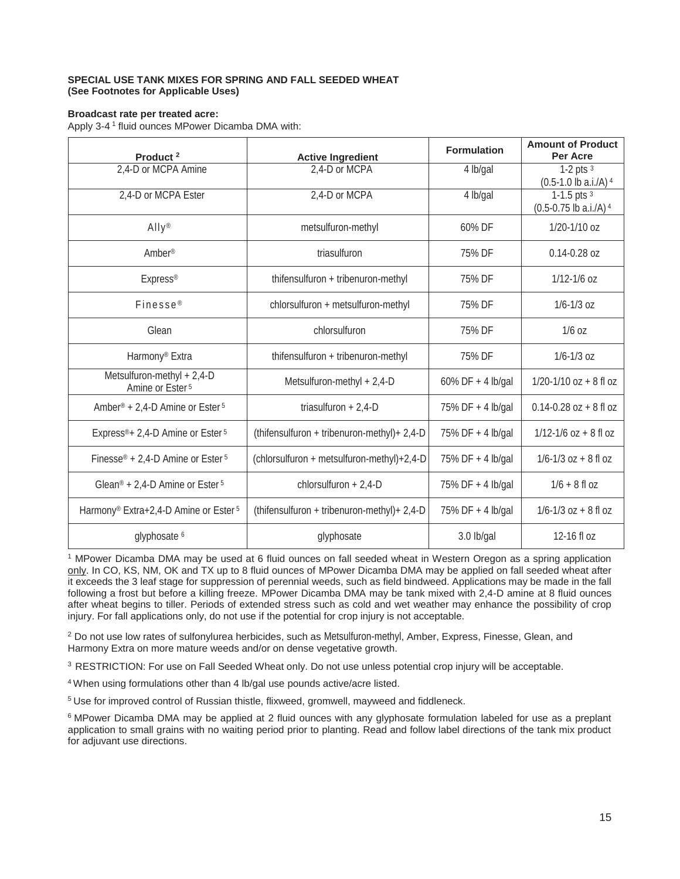#### **SPECIAL USE TANK MIXES FOR SPRING AND FALL SEEDED WHEAT (See Footnotes for Applicable Uses)**

#### **Broadcast rate per treated acre:**

Apply 3-4 1 fluid ounces MPower Dicamba DMA with:

| Product <sup>2</sup>                                         | <b>Active Ingredient</b>                     | <b>Formulation</b>    | <b>Amount of Product</b><br>Per Acre     |
|--------------------------------------------------------------|----------------------------------------------|-----------------------|------------------------------------------|
| 2,4-D or MCPA Amine                                          | 2,4-D or MCPA                                | $\overline{4}$ lb/gal | 1-2 pts $3$<br>$(0.5-1.0$ lb a.i./A) $4$ |
| 2,4-D or MCPA Ester                                          | 2,4-D or MCPA                                | 4 lb/gal              | 1-1.5 pts $3$<br>(0.5-0.75 lb a.i./A) 4  |
| $Ally^*$                                                     | metsulfuron-methyl                           | 60% DF                | 1/20-1/10 oz                             |
| Amber <sup>®</sup>                                           | triasulfuron                                 | 75% DF                | $0.14 - 0.28$ oz                         |
| Express <sup>®</sup>                                         | thifensulfuron + tribenuron-methyl           | 75% DF                | $1/12 - 1/6$ oz                          |
| Finesse <sup>®</sup>                                         | chlorsulfuron + metsulfuron-methyl           | 75% DF                | $1/6 - 1/3$ oz                           |
| Glean                                                        | chlorsulfuron                                | 75% DF                | $1/6$ oz                                 |
| Harmony <sup>®</sup> Extra                                   | thifensulfuron + tribenuron-methyl           | 75% DF                | $1/6 - 1/3$ oz                           |
| Metsulfuron-methyl + 2,4-D<br>Amine or Ester <sup>5</sup>    | Metsulfuron-methyl + 2,4-D                   | $60\%$ DF + 4 lb/gal  | $1/20 - 1/10$ oz + 8 fl oz               |
| Amber <sup>®</sup> + 2,4-D Amine or Ester <sup>5</sup>       | triasulfuron + $2,4$ -D                      | 75% DF + 4 lb/gal     | $0.14 - 0.28$ oz + 8 fl oz               |
| Express <sup>®</sup> + 2,4-D Amine or Ester <sup>5</sup>     | (thifensulfuron + tribenuron-methyl) + 2,4-D | 75% DF + 4 lb/gal     | $1/12 - 1/6$ oz + 8 fl oz                |
| Finesse <sup>®</sup> + 2,4-D Amine or Ester $5$              | (chlorsulfuron + metsulfuron-methyl)+2,4-D   | 75% DF + 4 lb/gal     | $1/6 - 1/3$ oz + 8 fl oz                 |
| Glean <sup>®</sup> + 2,4-D Amine or Ester <sup>5</sup>       | chlorsulfuron + 2,4-D                        | 75% DF + 4 lb/gal     | $1/6 + 8$ fl oz                          |
| Harmony <sup>®</sup> Extra+2,4-D Amine or Ester <sup>5</sup> | (thifensulfuron + tribenuron-methyl) + 2,4-D | 75% DF + 4 lb/gal     | $1/6 - 1/3$ oz + 8 fl oz                 |
| glyphosate <sup>6</sup>                                      | glyphosate                                   | 3.0 lb/gal            | 12-16 fl oz                              |

1 MPower Dicamba DMA may be used at 6 fluid ounces on fall seeded wheat in Western Oregon as a spring application only. In CO, KS, NM, OK and TX up to 8 fluid ounces of MPower Dicamba DMA may be applied on fall seeded wheat after it exceeds the 3 leaf stage for suppression of perennial weeds, such as field bindweed. Applications may be made in the fall following a frost but before a killing freeze. MPower Dicamba DMA may be tank mixed with 2,4-D amine at 8 fluid ounces after wheat begins to tiller. Periods of extended stress such as cold and wet weather may enhance the possibility of crop injury. For fall applications only, do not use if the potential for crop injury is not acceptable.

2 Do not use low rates of sulfonylurea herbicides, such as Metsulfuron-methyl, Amber, Express, Finesse, Glean, and Harmony Extra on more mature weeds and/or on dense vegetative growth.

<sup>3</sup> RESTRICTION: For use on Fall Seeded Wheat only. Do not use unless potential crop injury will be acceptable.

4 When using formulations other than 4 lb/gal use pounds active/acre listed.

<sup>5</sup> Use for improved control of Russian thistle, flixweed, gromwell, mayweed and fiddleneck.

<sup>6</sup> MPower Dicamba DMA may be applied at 2 fluid ounces with any glyphosate formulation labeled for use as a preplant application to small grains with no waiting period prior to planting. Read and follow label directions of the tank mix product for adjuvant use directions.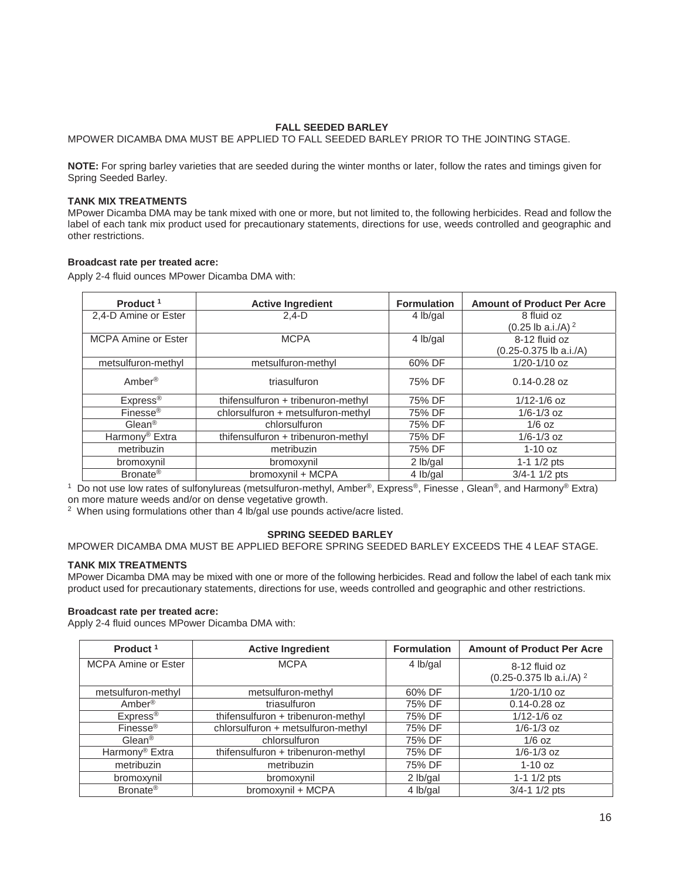#### **FALL SEEDED BARLEY**

MPOWER DICAMBA DMA MUST BE APPLIED TO FALL SEEDED BARLEY PRIOR TO THE JOINTING STAGE.

**NOTE:** For spring barley varieties that are seeded during the winter months or later, follow the rates and timings given for Spring Seeded Barley.

#### **TANK MIX TREATMENTS**

MPower Dicamba DMA may be tank mixed with one or more, but not limited to, the following herbicides. Read and follow the label of each tank mix product used for precautionary statements, directions for use, weeds controlled and geographic and other restrictions.

#### **Broadcast rate per treated acre:**

Apply 2-4 fluid ounces MPower Dicamba DMA with:

| Product <sup>1</sup>       | <b>Active Ingredient</b>           | <b>Formulation</b> | <b>Amount of Product Per Acre</b> |
|----------------------------|------------------------------------|--------------------|-----------------------------------|
| 2,4-D Amine or Ester       | $2.4-D$                            | 4 lb/gal           | 8 fluid oz                        |
|                            |                                    |                    | $(0.25 \text{ lb a.i./A})^2$      |
| <b>MCPA Amine or Ester</b> | <b>MCPA</b>                        | 4 lb/gal           | 8-12 fluid oz                     |
|                            |                                    |                    | $(0.25 - 0.375$ lb a.i./A)        |
| metsulfuron-methyl         | metsulfuron-methyl                 | 60% DF             | 1/20-1/10 oz                      |
| Amber <sup>®</sup>         | triasulfuron                       | 75% DF             | $0.14 - 0.28$ oz                  |
| Express <sup>®</sup>       | thifensulfuron + tribenuron-methyl | 75% DF             | $1/12 - 1/6$ oz                   |
| Finesse <sup>®</sup>       | chlorsulfuron + metsulfuron-methyl | 75% DF             | $1/6 - 1/3$ oz                    |
| Glean <sup>®</sup>         | chlorsulfuron                      | 75% DF             | $1/6$ oz                          |
| Harmony <sup>®</sup> Extra | thifensulfuron + tribenuron-methyl | 75% DF             | $1/6 - 1/3$ oz                    |
| metribuzin                 | metribuzin                         | 75% DF             | $1-10$ oz                         |
| bromoxynil                 | bromoxynil                         | 2 lb/gal           | 1-1 $1/2$ pts                     |
| Bronate <sup>®</sup>       | bromoxynil + MCPA                  | 4 lb/gal           | $3/4 - 1$ 1/2 pts                 |

<sup>1</sup> Do not use low rates of sulfonylureas (metsulfuron-methyl, Amber<sup>®</sup>, Express<sup>®</sup>, Finesse, Glean<sup>®</sup>, and Harmony<sup>®</sup> Extra) on more mature weeds and/or on dense vegetative growth.

<sup>2</sup> When using formulations other than 4 lb/gal use pounds active/acre listed.

#### **SPRING SEEDED BARLEY**

#### MPOWER DICAMBA DMA MUST BE APPLIED BEFORE SPRING SEEDED BARLEY EXCEEDS THE 4 LEAF STAGE.

#### **TANK MIX TREATMENTS**

MPower Dicamba DMA may be mixed with one or more of the following herbicides. Read and follow the label of each tank mix product used for precautionary statements, directions for use, weeds controlled and geographic and other restrictions.

#### **Broadcast rate per treated acre:**

Apply 2-4 fluid ounces MPower Dicamba DMA with:

| Product <sup>1</sup>       | <b>Active Ingredient</b>           | <b>Formulation</b> | <b>Amount of Product Per Acre</b>                        |
|----------------------------|------------------------------------|--------------------|----------------------------------------------------------|
| <b>MCPA Amine or Ester</b> | <b>MCPA</b>                        | 4 lb/gal           | 8-12 fluid oz<br>$(0.25 - 0.375$ lb a.i./A) <sup>2</sup> |
| metsulfuron-methyl         | metsulfuron-methyl                 | 60% DF             | $1/20 - 1/10$ oz                                         |
| Amber <sup>®</sup>         | triasulfuron                       | 75% DF             | $0.14 - 0.28$ oz                                         |
| Express <sup>®</sup>       | thifensulfuron + tribenuron-methyl | 75% DF             | $1/12 - 1/6$ oz                                          |
| Finesse <sup>®</sup>       | chlorsulfuron + metsulfuron-methyl | 75% DF             | $1/6 - 1/3$ oz                                           |
| $Glean^@$                  | chlorsulfuron                      | 75% DF             | $1/6$ oz                                                 |
| Harmony <sup>®</sup> Extra | thifensulfuron + tribenuron-methyl | 75% DF             | $1/6 - 1/3$ oz                                           |
| metribuzin                 | metribuzin                         | 75% DF             | $1-10$ oz                                                |
| bromoxynil                 | bromoxynil                         | 2 lb/gal           | 1-1 1/2 pts                                              |
| Bronate <sup>®</sup>       | bromoxynil + MCPA                  | 4 lb/gal           | $3/4 - 1$ 1/2 pts                                        |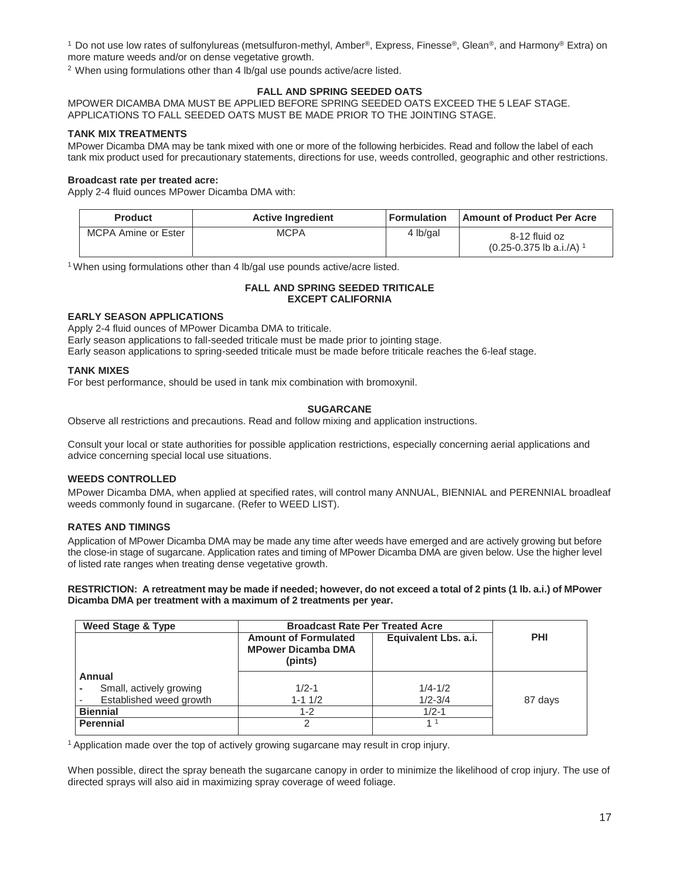1 Do not use low rates of sulfonylureas (metsulfuron-methyl, Amber®, Express, Finesse®, Glean®, and Harmony® Extra) on more mature weeds and/or on dense vegetative growth.

 $2$  When using formulations other than 4 lb/gal use pounds active/acre listed.

#### **FALL AND SPRING SEEDED OATS**

MPOWER DICAMBA DMA MUST BE APPLIED BEFORE SPRING SEEDED OATS EXCEED THE 5 LEAF STAGE. APPLICATIONS TO FALL SEEDED OATS MUST BE MADE PRIOR TO THE JOINTING STAGE.

#### **TANK MIX TREATMENTS**

MPower Dicamba DMA may be tank mixed with one or more of the following herbicides. Read and follow the label of each tank mix product used for precautionary statements, directions for use, weeds controlled, geographic and other restrictions.

#### **Broadcast rate per treated acre:**

Apply 2-4 fluid ounces MPower Dicamba DMA with:

| <b>Product</b>      | <b>Active Ingredient</b> | <b>Formulation</b> | <b>Amount of Product Per Acre</b>                         |
|---------------------|--------------------------|--------------------|-----------------------------------------------------------|
| MCPA Amine or Ester | <b>MCPA</b>              | 4 lb/gal           | 8-12 fluid oz<br>$(0.25 - 0.375)$ lb a.i./A) <sup>1</sup> |

<sup>1</sup> When using formulations other than 4 lb/gal use pounds active/acre listed.

### **FALL AND SPRING SEEDED TRITICALE EXCEPT CALIFORNIA**

### **EARLY SEASON APPLICATIONS**

Apply 2-4 fluid ounces of MPower Dicamba DMA to triticale. Early season applications to fall-seeded triticale must be made prior to jointing stage. Early season applications to spring-seeded triticale must be made before triticale reaches the 6-leaf stage.

#### **TANK MIXES**

For best performance, should be used in tank mix combination with bromoxynil.

### **SUGARCANE**

Observe all restrictions and precautions. Read and follow mixing and application instructions.

Consult your local or state authorities for possible application restrictions, especially concerning aerial applications and advice concerning special local use situations.

### **WEEDS CONTROLLED**

MPower Dicamba DMA, when applied at specified rates, will control many ANNUAL, BIENNIAL and PERENNIAL broadleaf weeds commonly found in sugarcane. (Refer to WEED LIST).

#### **RATES AND TIMINGS**

Application of MPower Dicamba DMA may be made any time after weeds have emerged and are actively growing but before the close-in stage of sugarcane. Application rates and timing of MPower Dicamba DMA are given below. Use the higher level of listed rate ranges when treating dense vegetative growth.

**RESTRICTION: A retreatment may be made if needed; however, do not exceed a total of 2 pints (1 lb. a.i.) of MPower Dicamba DMA per treatment with a maximum of 2 treatments per year.** 

| <b>Weed Stage &amp; Type</b> | <b>Broadcast Rate Per Treated Acre</b>                              |                      |            |
|------------------------------|---------------------------------------------------------------------|----------------------|------------|
|                              | <b>Amount of Formulated</b><br><b>MPower Dicamba DMA</b><br>(pints) | Equivalent Lbs. a.i. | <b>PHI</b> |
| Annual                       |                                                                     |                      |            |
| Small, actively growing      | $1/2 - 1$                                                           | $1/4 - 1/2$          |            |
| Established weed growth      | $1 - 11/2$                                                          | $1/2 - 3/4$          | 87 days    |
| <b>Biennial</b>              | $1 - 2$                                                             | $1/2 - 1$            |            |
| <b>Perennial</b>             | 2                                                                   | 11                   |            |

1 Application made over the top of actively growing sugarcane may result in crop injury.

When possible, direct the spray beneath the sugarcane canopy in order to minimize the likelihood of crop injury. The use of directed sprays will also aid in maximizing spray coverage of weed foliage.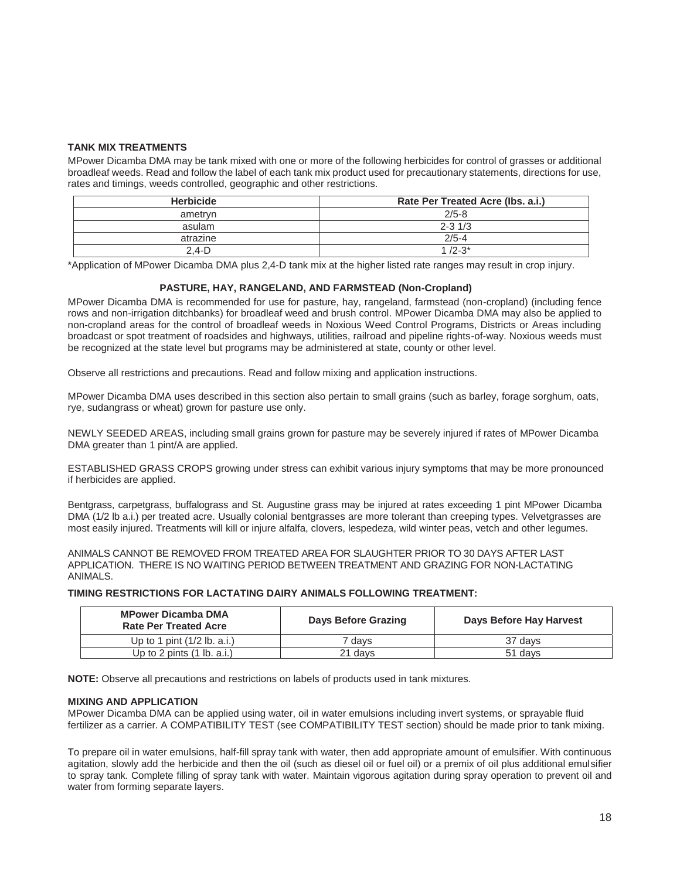#### **TANK MIX TREATMENTS**

MPower Dicamba DMA may be tank mixed with one or more of the following herbicides for control of grasses or additional broadleaf weeds. Read and follow the label of each tank mix product used for precautionary statements, directions for use, rates and timings, weeds controlled, geographic and other restrictions.

| <b>Herbicide</b> | Rate Per Treated Acre (Ibs. a.i.) |
|------------------|-----------------------------------|
| ametryn          | $2/5 - 8$                         |
| asulam           | $2 - 3 \frac{1}{3}$               |
| atrazine         | $2/5 - 4$                         |
| 2.4-D            | $1/2 - 3^{*}$                     |

\*Application of MPower Dicamba DMA plus 2,4-D tank mix at the higher listed rate ranges may result in crop injury.

#### **PASTURE, HAY, RANGELAND, AND FARMSTEAD (Non-Cropland)**

MPower Dicamba DMA is recommended for use for pasture, hay, rangeland, farmstead (non-cropland) (including fence rows and non-irrigation ditchbanks) for broadleaf weed and brush control. MPower Dicamba DMA may also be applied to non-cropland areas for the control of broadleaf weeds in Noxious Weed Control Programs, Districts or Areas including broadcast or spot treatment of roadsides and highways, utilities, railroad and pipeline rights-of-way. Noxious weeds must be recognized at the state level but programs may be administered at state, county or other level.

Observe all restrictions and precautions. Read and follow mixing and application instructions.

MPower Dicamba DMA uses described in this section also pertain to small grains (such as barley, forage sorghum, oats, rye, sudangrass or wheat) grown for pasture use only.

NEWLY SEEDED AREAS, including small grains grown for pasture may be severely injured if rates of MPower Dicamba DMA greater than 1 pint/A are applied.

ESTABLISHED GRASS CROPS growing under stress can exhibit various injury symptoms that may be more pronounced if herbicides are applied.

Bentgrass, carpetgrass, buffalograss and St. Augustine grass may be injured at rates exceeding 1 pint MPower Dicamba DMA (1/2 lb a.i.) per treated acre. Usually colonial bentgrasses are more tolerant than creeping types. Velvetgrasses are most easily injured. Treatments will kill or injure alfalfa, clovers, lespedeza, wild winter peas, vetch and other legumes.

ANIMALS CANNOT BE REMOVED FROM TREATED AREA FOR SLAUGHTER PRIOR TO 30 DAYS AFTER LAST APPLICATION. THERE IS NO WAITING PERIOD BETWEEN TREATMENT AND GRAZING FOR NON-LACTATING ANIMALS.

#### **TIMING RESTRICTIONS FOR LACTATING DAIRY ANIMALS FOLLOWING TREATMENT:**

| <b>MPower Dicamba DMA</b><br><b>Rate Per Treated Acre</b> | Days Before Grazing | Days Before Hay Harvest |
|-----------------------------------------------------------|---------------------|-------------------------|
| Up to 1 pint $(1/2 \text{ lb. a.i.})$                     | davs                | 37 davs                 |
| Up to 2 pints $(1 \text{ lb. a.i.})$                      | 21 davs             | 51 days                 |

**NOTE:** Observe all precautions and restrictions on labels of products used in tank mixtures.

#### **MIXING AND APPLICATION**

MPower Dicamba DMA can be applied using water, oil in water emulsions including invert systems, or sprayable fluid fertilizer as a carrier. A COMPATIBILITY TEST (see COMPATIBILITY TEST section) should be made prior to tank mixing.

To prepare oil in water emulsions, half-fill spray tank with water, then add appropriate amount of emulsifier. With continuous agitation, slowly add the herbicide and then the oil (such as diesel oil or fuel oil) or a premix of oil plus additional emulsifier to spray tank. Complete filling of spray tank with water. Maintain vigorous agitation during spray operation to prevent oil and water from forming separate layers.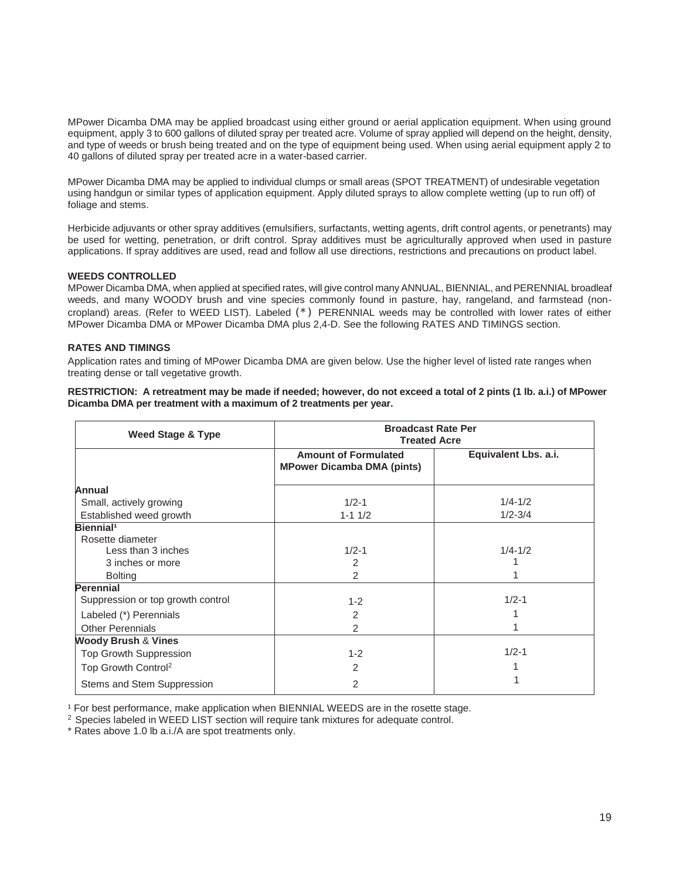MPower Dicamba DMA may be applied broadcast using either ground or aerial application equipment. When using ground equipment, apply 3 to 600 gallons of diluted spray per treated acre. Volume of spray applied will depend on the height, density, and type of weeds or brush being treated and on the type of equipment being used. When using aerial equipment apply 2 to 40 gallons of diluted spray per treated acre in a water-based carrier.

MPower Dicamba DMA may be applied to individual clumps or small areas (SPOT TREATMENT) of undesirable vegetation using handgun or similar types of application equipment. Apply diluted sprays to allow complete wetting (up to run off) of foliage and stems.

Herbicide adjuvants or other spray additives (emulsifiers, surfactants, wetting agents, drift control agents, or penetrants) may be used for wetting, penetration, or drift control. Spray additives must be agriculturally approved when used in pasture applications. If spray additives are used, read and follow all use directions, restrictions and precautions on product label.

#### **WEEDS CONTROLLED**

MPower Dicamba DMA, when applied at specified rates, will give control many ANNUAL, BIENNIAL, and PERENNIAL broadleaf weeds, and many WOODY brush and vine species commonly found in pasture, hay, rangeland, and farmstead (noncropland) areas. (Refer to WEED LIST). Labeled (\*) PERENNIAL weeds may be controlled with lower rates of either MPower Dicamba DMA or MPower Dicamba DMA plus 2,4-D. See the following RATES AND TIMINGS section.

#### **RATES AND TIMINGS**

Application rates and timing of MPower Dicamba DMA are given below. Use the higher level of listed rate ranges when treating dense or tall vegetative growth.

**RESTRICTION: A retreatment may be made if needed; however, do not exceed a total of 2 pints (1 lb. a.i.) of MPower Dicamba DMA per treatment with a maximum of 2 treatments per year.** 

| <b>Weed Stage &amp; Type</b>                                    | <b>Broadcast Rate Per</b><br><b>Treated Acre</b>                 |                      |  |
|-----------------------------------------------------------------|------------------------------------------------------------------|----------------------|--|
|                                                                 | <b>Amount of Formulated</b><br><b>MPower Dicamba DMA (pints)</b> | Equivalent Lbs. a.i. |  |
| Annual                                                          |                                                                  |                      |  |
| Small, actively growing                                         | $1/2 - 1$                                                        | $1/4 - 1/2$          |  |
| Established weed growth                                         | $1 - 11/2$                                                       | $1/2 - 3/4$          |  |
| Biennial <sup>1</sup><br>Rosette diameter<br>Less than 3 inches | $1/2 - 1$                                                        | $1/4 - 1/2$          |  |
| 3 inches or more                                                | 2                                                                |                      |  |
| <b>Bolting</b>                                                  | $\mathfrak{D}$                                                   |                      |  |
| <b>Perennial</b>                                                |                                                                  |                      |  |
| Suppression or top growth control                               | $1 - 2$                                                          | $1/2 - 1$            |  |
| Labeled (*) Perennials                                          | 2                                                                |                      |  |
| <b>Other Perennials</b>                                         | 2                                                                |                      |  |
| <b>Woody Brush &amp; Vines</b>                                  |                                                                  |                      |  |
| <b>Top Growth Suppression</b>                                   | $1 - 2$                                                          | $1/2 - 1$            |  |
| Top Growth Control <sup>2</sup>                                 | 2                                                                |                      |  |
| Stems and Stem Suppression                                      | 2                                                                |                      |  |

<sup>1</sup> For best performance, make application when BIENNIAL WEEDS are in the rosette stage.

<sup>2</sup> Species labeled in WEED LIST section will require tank mixtures for adequate control.

\* Rates above 1.0 lb a.i./A are spot treatments only.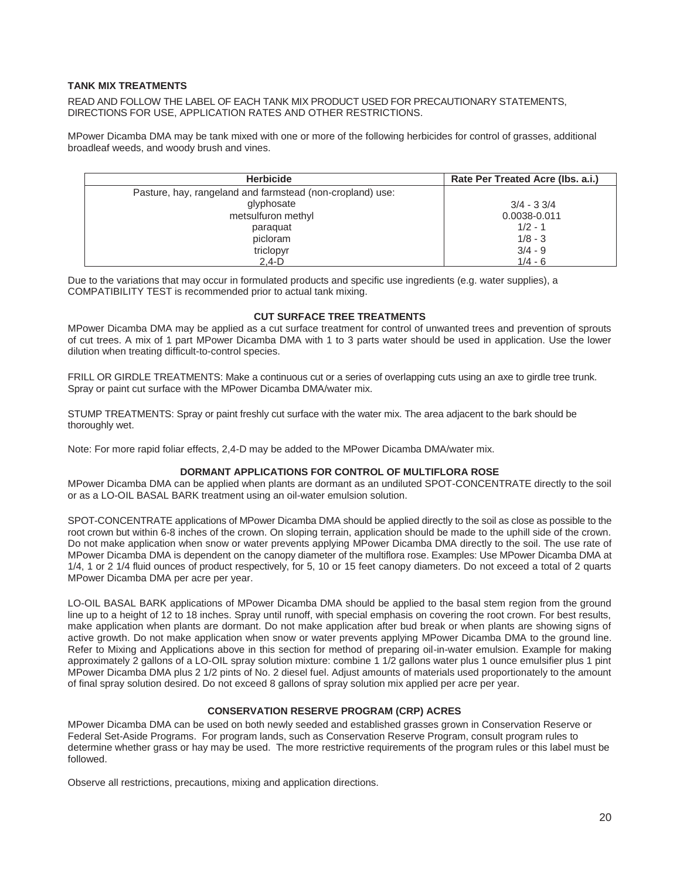#### **TANK MIX TREATMENTS**

READ AND FOLLOW THE LABEL OF EACH TANK MIX PRODUCT USED FOR PRECAUTIONARY STATEMENTS, DIRECTIONS FOR USE, APPLICATION RATES AND OTHER RESTRICTIONS.

MPower Dicamba DMA may be tank mixed with one or more of the following herbicides for control of grasses, additional broadleaf weeds, and woody brush and vines.

| <b>Herbicide</b>                                          | Rate Per Treated Acre (Ibs. a.i.) |
|-----------------------------------------------------------|-----------------------------------|
| Pasture, hay, rangeland and farmstead (non-cropland) use: |                                   |
| glyphosate                                                | $3/4 - 33/4$                      |
| metsulfuron methyl                                        | 0.0038-0.011                      |
| paraquat                                                  | $1/2 - 1$                         |
| picloram                                                  | $1/8 - 3$                         |
| triclopyr                                                 | $3/4 - 9$                         |
| $2.4-D$                                                   | $1/4 - 6$                         |

Due to the variations that may occur in formulated products and specific use ingredients (e.g. water supplies), a COMPATIBILITY TEST is recommended prior to actual tank mixing.

#### **CUT SURFACE TREE TREATMENTS**

MPower Dicamba DMA may be applied as a cut surface treatment for control of unwanted trees and prevention of sprouts of cut trees. A mix of 1 part MPower Dicamba DMA with 1 to 3 parts water should be used in application. Use the lower dilution when treating difficult-to-control species.

FRILL OR GIRDLE TREATMENTS: Make a continuous cut or a series of overlapping cuts using an axe to girdle tree trunk. Spray or paint cut surface with the MPower Dicamba DMA/water mix.

STUMP TREATMENTS: Spray or paint freshly cut surface with the water mix. The area adjacent to the bark should be thoroughly wet.

Note: For more rapid foliar effects, 2,4-D may be added to the MPower Dicamba DMA/water mix.

#### **DORMANT APPLICATIONS FOR CONTROL OF MULTIFLORA ROSE**

MPower Dicamba DMA can be applied when plants are dormant as an undiluted SPOT-CONCENTRATE directly to the soil or as a LO-OIL BASAL BARK treatment using an oil-water emulsion solution.

SPOT-CONCENTRATE applications of MPower Dicamba DMA should be applied directly to the soil as close as possible to the root crown but within 6-8 inches of the crown. On sloping terrain, application should be made to the uphill side of the crown. Do not make application when snow or water prevents applying MPower Dicamba DMA directly to the soil. The use rate of MPower Dicamba DMA is dependent on the canopy diameter of the multiflora rose. Examples: Use MPower Dicamba DMA at 1/4, 1 or 2 1/4 fluid ounces of product respectively, for 5, 10 or 15 feet canopy diameters. Do not exceed a total of 2 quarts MPower Dicamba DMA per acre per year.

LO-OIL BASAL BARK applications of MPower Dicamba DMA should be applied to the basal stem region from the ground line up to a height of 12 to 18 inches. Spray until runoff, with special emphasis on covering the root crown. For best results, make application when plants are dormant. Do not make application after bud break or when plants are showing signs of active growth. Do not make application when snow or water prevents applying MPower Dicamba DMA to the ground line. Refer to Mixing and Applications above in this section for method of preparing oil-in-water emulsion. Example for making approximately 2 gallons of a LO-OIL spray solution mixture: combine 1 1/2 gallons water plus 1 ounce emulsifier plus 1 pint MPower Dicamba DMA plus 2 1/2 pints of No. 2 diesel fuel. Adjust amounts of materials used proportionately to the amount of final spray solution desired. Do not exceed 8 gallons of spray solution mix applied per acre per year.

#### **CONSERVATION RESERVE PROGRAM (CRP) ACRES**

MPower Dicamba DMA can be used on both newly seeded and established grasses grown in Conservation Reserve or Federal Set-Aside Programs. For program lands, such as Conservation Reserve Program, consult program rules to determine whether grass or hay may be used. The more restrictive requirements of the program rules or this label must be followed.

Observe all restrictions, precautions, mixing and application directions.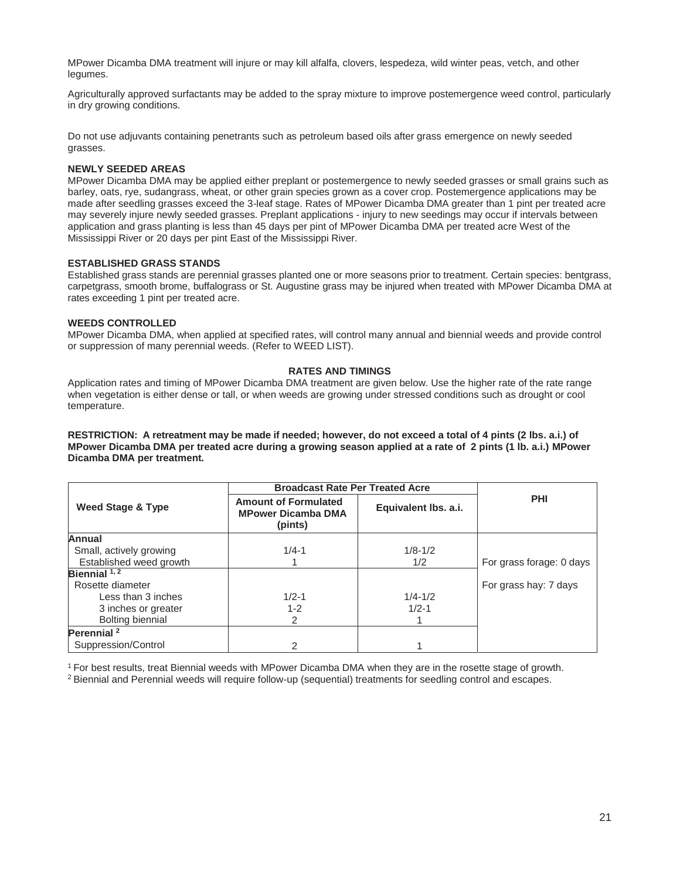MPower Dicamba DMA treatment will injure or may kill alfalfa, clovers, lespedeza, wild winter peas, vetch, and other legumes.

Agriculturally approved surfactants may be added to the spray mixture to improve postemergence weed control, particularly in dry growing conditions.

Do not use adjuvants containing penetrants such as petroleum based oils after grass emergence on newly seeded grasses.

#### **NEWLY SEEDED AREAS**

MPower Dicamba DMA may be applied either preplant or postemergence to newly seeded grasses or small grains such as barley, oats, rye, sudangrass, wheat, or other grain species grown as a cover crop. Postemergence applications may be made after seedling grasses exceed the 3-leaf stage. Rates of MPower Dicamba DMA greater than 1 pint per treated acre may severely injure newly seeded grasses. Preplant applications - injury to new seedings may occur if intervals between application and grass planting is less than 45 days per pint of MPower Dicamba DMA per treated acre West of the Mississippi River or 20 days per pint East of the Mississippi River.

#### **ESTABLISHED GRASS STANDS**

Established grass stands are perennial grasses planted one or more seasons prior to treatment. Certain species: bentgrass, carpetgrass, smooth brome, buffalograss or St. Augustine grass may be injured when treated with MPower Dicamba DMA at rates exceeding 1 pint per treated acre.

#### **WEEDS CONTROLLED**

MPower Dicamba DMA, when applied at specified rates, will control many annual and biennial weeds and provide control or suppression of many perennial weeds. (Refer to WEED LIST).

#### **RATES AND TIMINGS**

Application rates and timing of MPower Dicamba DMA treatment are given below. Use the higher rate of the rate range when vegetation is either dense or tall, or when weeds are growing under stressed conditions such as drought or cool temperature.

**RESTRICTION: A retreatment may be made if needed; however, do not exceed a total of 4 pints (2 lbs. a.i.) of MPower Dicamba DMA per treated acre during a growing season applied at a rate of 2 pints (1 lb. a.i.) MPower Dicamba DMA per treatment.** 

|                         |                                                                     | <b>Broadcast Rate Per Treated Acre</b> |                          |
|-------------------------|---------------------------------------------------------------------|----------------------------------------|--------------------------|
| Weed Stage & Type       | <b>Amount of Formulated</b><br><b>MPower Dicamba DMA</b><br>(pints) | Equivalent lbs. a.i.                   | <b>PHI</b>               |
| Annual                  |                                                                     |                                        |                          |
| Small, actively growing | $1/4 - 1$                                                           | $1/8 - 1/2$                            |                          |
| Established weed growth |                                                                     | 1/2                                    | For grass forage: 0 days |
| Biennial $1, 2$         |                                                                     |                                        |                          |
| Rosette diameter        |                                                                     |                                        | For grass hay: 7 days    |
| Less than 3 inches      | $1/2 - 1$                                                           | $1/4 - 1/2$                            |                          |
| 3 inches or greater     | $1 - 2$                                                             | $1/2 - 1$                              |                          |
| Bolting biennial        | 2                                                                   |                                        |                          |
| Perennial <sup>2</sup>  |                                                                     |                                        |                          |
| Suppression/Control     | 2                                                                   |                                        |                          |

<sup>1</sup> For best results, treat Biennial weeds with MPower Dicamba DMA when they are in the rosette stage of growth.<br><sup>2</sup> Biennial and Perennial weeds will require follow-up (sequential) treatments for seedling control and esc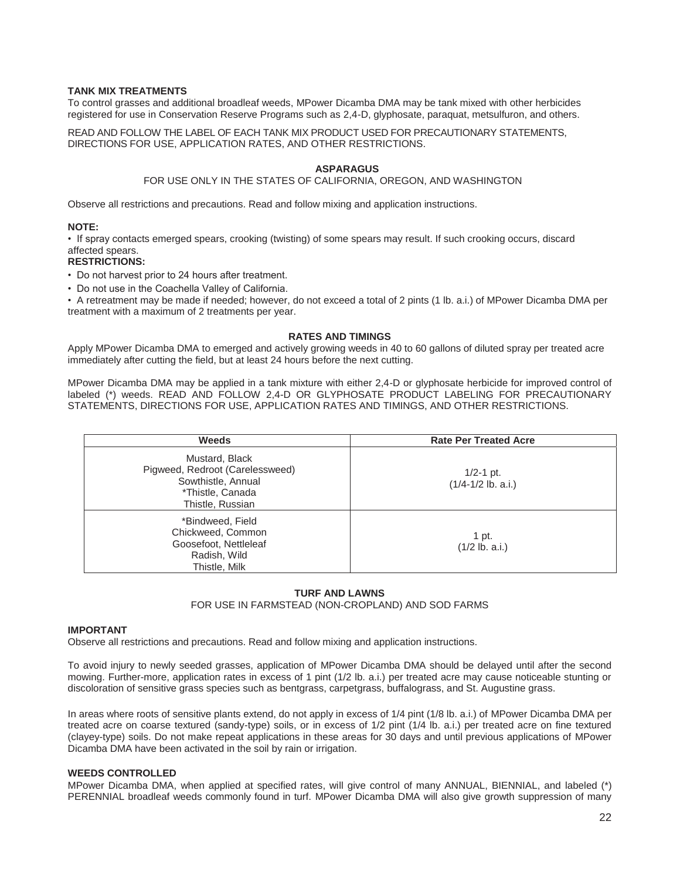#### **TANK MIX TREATMENTS**

To control grasses and additional broadleaf weeds, MPower Dicamba DMA may be tank mixed with other herbicides registered for use in Conservation Reserve Programs such as 2,4-D, glyphosate, paraquat, metsulfuron, and others.

READ AND FOLLOW THE LABEL OF EACH TANK MIX PRODUCT USED FOR PRECAUTIONARY STATEMENTS, DIRECTIONS FOR USE, APPLICATION RATES, AND OTHER RESTRICTIONS.

#### **ASPARAGUS**

#### FOR USE ONLY IN THE STATES OF CALIFORNIA, OREGON, AND WASHINGTON

Observe all restrictions and precautions. Read and follow mixing and application instructions.

#### **NOTE:**

• If spray contacts emerged spears, crooking (twisting) of some spears may result. If such crooking occurs, discard affected spears.

#### **RESTRICTIONS:**

- Do not harvest prior to 24 hours after treatment.
- Do not use in the Coachella Valley of California.

• A retreatment may be made if needed; however, do not exceed a total of 2 pints (1 lb. a.i.) of MPower Dicamba DMA per treatment with a maximum of 2 treatments per year.

#### **RATES AND TIMINGS**

Apply MPower Dicamba DMA to emerged and actively growing weeds in 40 to 60 gallons of diluted spray per treated acre immediately after cutting the field, but at least 24 hours before the next cutting.

MPower Dicamba DMA may be applied in a tank mixture with either 2,4-D or glyphosate herbicide for improved control of labeled (\*) weeds. READ AND FOLLOW 2,4-D OR GLYPHOSATE PRODUCT LABELING FOR PRECAUTIONARY STATEMENTS, DIRECTIONS FOR USE, APPLICATION RATES AND TIMINGS, AND OTHER RESTRICTIONS.

| <b>Weeds</b>                                                                                                    | <b>Rate Per Treated Acre</b>          |
|-----------------------------------------------------------------------------------------------------------------|---------------------------------------|
| Mustard, Black<br>Pigweed, Redroot (Carelessweed)<br>Sowthistle, Annual<br>*Thistle, Canada<br>Thistle, Russian | $1/2-1$ pt.<br>$(1/4 - 1/2$ lb. a.i.) |
| *Bindweed, Field<br>Chickweed, Common<br>Goosefoot, Nettleleaf<br>Radish, Wild<br>Thistle, Milk                 | 1 pt.<br>$(1/2$ lb. a.i.)             |

#### **TURF AND LAWNS**

#### FOR USE IN FARMSTEAD (NON-CROPLAND) AND SOD FARMS

#### **IMPORTANT**

Observe all restrictions and precautions. Read and follow mixing and application instructions.

To avoid injury to newly seeded grasses, application of MPower Dicamba DMA should be delayed until after the second mowing. Further-more, application rates in excess of 1 pint (1/2 lb. a.i.) per treated acre may cause noticeable stunting or discoloration of sensitive grass species such as bentgrass, carpetgrass, buffalograss, and St. Augustine grass.

In areas where roots of sensitive plants extend, do not apply in excess of 1/4 pint (1/8 lb. a.i.) of MPower Dicamba DMA per treated acre on coarse textured (sandy-type) soils, or in excess of 1/2 pint (1/4 lb. a.i.) per treated acre on fine textured (clayey-type) soils. Do not make repeat applications in these areas for 30 days and until previous applications of MPower Dicamba DMA have been activated in the soil by rain or irrigation.

### **WEEDS CONTROLLED**

MPower Dicamba DMA, when applied at specified rates, will give control of many ANNUAL, BIENNIAL, and labeled (\*) PERENNIAL broadleaf weeds commonly found in turf. MPower Dicamba DMA will also give growth suppression of many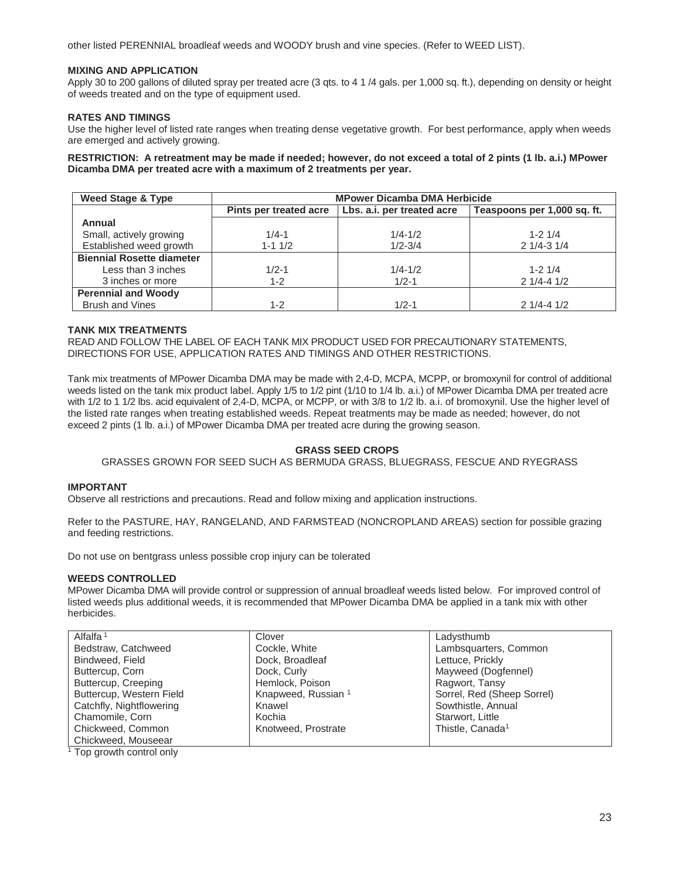other listed PERENNIAL broadleaf weeds and WOODY brush and vine species. (Refer to WEED LIST).

#### **MIXING AND APPLICATION**

Apply 30 to 200 gallons of diluted spray per treated acre (3 qts. to 4 1 /4 gals. per 1,000 sq. ft.), depending on density or height of weeds treated and on the type of equipment used.

#### **RATES AND TIMINGS**

Use the higher level of listed rate ranges when treating dense vegetative growth. For best performance, apply when weeds are emerged and actively growing.

**RESTRICTION: A retreatment may be made if needed; however, do not exceed a total of 2 pints (1 lb. a.i.) MPower Dicamba DMA per treated acre with a maximum of 2 treatments per year.** 

| Weed Stage & Type                | <b>MPower Dicamba DMA Herbicide</b> |                            |                             |
|----------------------------------|-------------------------------------|----------------------------|-----------------------------|
|                                  | Pints per treated acre              | Lbs. a.i. per treated acre | Teaspoons per 1,000 sq. ft. |
| Annual                           |                                     |                            |                             |
| Small, actively growing          | $1/4 - 1$                           | $1/4 - 1/2$                | $1 - 21/4$                  |
| Established weed growth          | $1 - 11/2$                          | $1/2 - 3/4$                | $21/4 - 31/4$               |
| <b>Biennial Rosette diameter</b> |                                     |                            |                             |
| Less than 3 inches               | $1/2 - 1$                           | $1/4 - 1/2$                | $1 - 2$ 1/4                 |
| 3 inches or more                 | $1 - 2$                             | $1/2 - 1$                  | $21/4 - 41/2$               |
| <b>Perennial and Woody</b>       |                                     |                            |                             |
| <b>Brush and Vines</b>           | $1 - 2$                             | $1/2 - 1$                  | $21/4 - 41/2$               |

#### **TANK MIX TREATMENTS**

READ AND FOLLOW THE LABEL OF EACH TANK MIX PRODUCT USED FOR PRECAUTIONARY STATEMENTS, DIRECTIONS FOR USE, APPLICATION RATES AND TIMINGS AND OTHER RESTRICTIONS.

Tank mix treatments of MPower Dicamba DMA may be made with 2,4-D, MCPA, MCPP, or bromoxynil for control of additional weeds listed on the tank mix product label. Apply 1/5 to 1/2 pint (1/10 to 1/4 lb. a.i.) of MPower Dicamba DMA per treated acre with 1/2 to 1 1/2 lbs. acid equivalent of 2,4-D, MCPA, or MCPP, or with 3/8 to 1/2 lb. a.i. of bromoxynil. Use the higher level of the listed rate ranges when treating established weeds. Repeat treatments may be made as needed; however, do not exceed 2 pints (1 lb. a.i.) of MPower Dicamba DMA per treated acre during the growing season.

### **GRASS SEED CROPS**

GRASSES GROWN FOR SEED SUCH AS BERMUDA GRASS, BLUEGRASS, FESCUE AND RYEGRASS

#### **IMPORTANT**

Observe all restrictions and precautions. Read and follow mixing and application instructions.

Refer to the PASTURE, HAY, RANGELAND, AND FARMSTEAD (NONCROPLAND AREAS) section for possible grazing and feeding restrictions.

Do not use on bentgrass unless possible crop injury can be tolerated

#### **WEEDS CONTROLLED**

MPower Dicamba DMA will provide control or suppression of annual broadleaf weeds listed below. For improved control of listed weeds plus additional weeds, it is recommended that MPower Dicamba DMA be applied in a tank mix with other herbicides.

| Clover                         | Ladysthumb                   |
|--------------------------------|------------------------------|
| Cockle, White                  | Lambsquarters, Common        |
| Dock, Broadleaf                | Lettuce, Prickly             |
| Dock, Curly                    | Mayweed (Dogfennel)          |
| Hemlock, Poison                | Ragwort, Tansy               |
| Knapweed, Russian <sup>1</sup> | Sorrel, Red (Sheep Sorrel)   |
| Knawel                         | Sowthistle, Annual           |
| Kochia                         | Starwort, Little             |
| Knotweed, Prostrate            | Thistle, Canada <sup>1</sup> |
|                                |                              |
|                                |                              |

<sup>1</sup> Top growth control only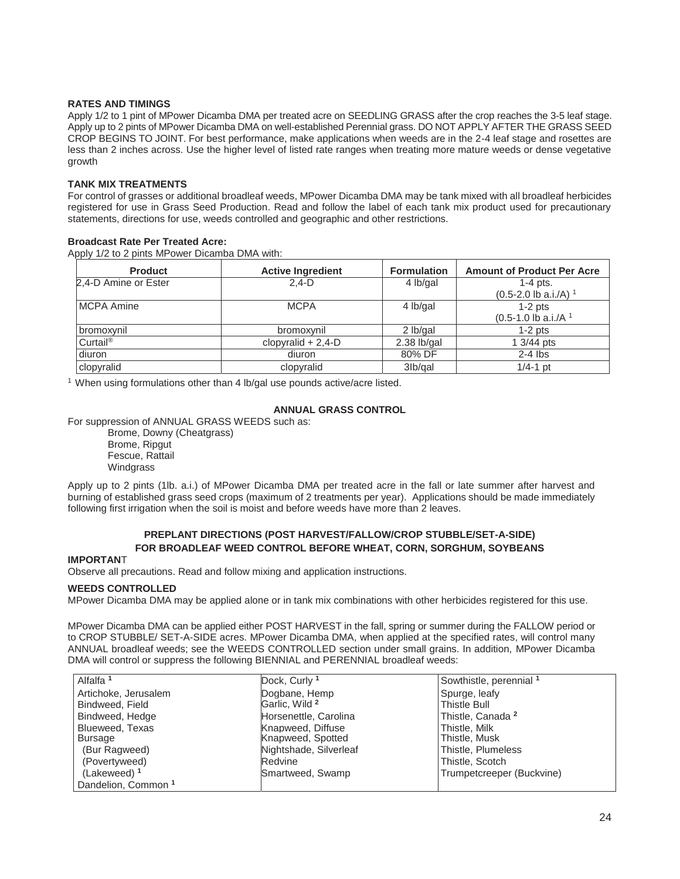#### **RATES AND TIMINGS**

Apply 1/2 to 1 pint of MPower Dicamba DMA per treated acre on SEEDLING GRASS after the crop reaches the 3-5 leaf stage. Apply up to 2 pints of MPower Dicamba DMA on well-established Perennial grass. DO NOT APPLY AFTER THE GRASS SEED CROP BEGINS TO JOINT. For best performance, make applications when weeds are in the 2-4 leaf stage and rosettes are less than 2 inches across. Use the higher level of listed rate ranges when treating more mature weeds or dense vegetative growth

#### **TANK MIX TREATMENTS**

For control of grasses or additional broadleaf weeds, MPower Dicamba DMA may be tank mixed with all broadleaf herbicides registered for use in Grass Seed Production. Read and follow the label of each tank mix product used for precautionary statements, directions for use, weeds controlled and geographic and other restrictions.

#### **Broadcast Rate Per Treated Acre:**

Apply 1/2 to 2 pints MPower Dicamba DMA with:

| <b>Product</b>       | <b>Active Ingredient</b> | <b>Formulation</b> | <b>Amount of Product Per Acre</b>  |
|----------------------|--------------------------|--------------------|------------------------------------|
| 2,4-D Amine or Ester | $2.4-D$                  | 4 lb/gal           | $1-4$ pts.                         |
|                      |                          |                    | $(0.5-2.0$ lb a.i./A) <sup>1</sup> |
| <b>MCPA Amine</b>    | <b>MCPA</b>              | 4 lb/gal           | $1-2$ pts                          |
|                      |                          |                    | $(0.5-1.0$ lb a.i./A <sup>1</sup>  |
| bromoxynil           | bromoxynil               | 2 lb/gal           | $1-2$ pts                          |
| Curtail®             | clopyralid $+ 2,4$ -D    | $2.38$ lb/gal      | 1 3/44 pts                         |
| diuron               | diuron                   | 80% DF             | $2-4$ lbs                          |
| clopyralid           | clopyralid               | 3lb/gal            | $1/4 - 1$ pt                       |

<sup>1</sup> When using formulations other than 4 lb/gal use pounds active/acre listed.

#### **ANNUAL GRASS CONTROL**

For suppression of ANNUAL GRASS WEEDS such as:

Brome, Downy (Cheatgrass) Brome, Ripgut Fescue, Rattail Windgrass

Apply up to 2 pints (1lb. a.i.) of MPower Dicamba DMA per treated acre in the fall or late summer after harvest and burning of established grass seed crops (maximum of 2 treatments per year). Applications should be made immediately following first irrigation when the soil is moist and before weeds have more than 2 leaves.

#### **PREPLANT DIRECTIONS (POST HARVEST/FALLOW/CROP STUBBLE/SET-A-SIDE) FOR BROADLEAF WEED CONTROL BEFORE WHEAT, CORN, SORGHUM, SOYBEANS**

#### **IMPORTAN**T

Observe all precautions. Read and follow mixing and application instructions.

#### **WEEDS CONTROLLED**

MPower Dicamba DMA may be applied alone or in tank mix combinations with other herbicides registered for this use.

MPower Dicamba DMA can be applied either POST HARVEST in the fall, spring or summer during the FALLOW period or to CROP STUBBLE/ SET-A-SIDE acres. MPower Dicamba DMA, when applied at the specified rates, will control many ANNUAL broadleaf weeds; see the WEEDS CONTROLLED section under small grains. In addition, MPower Dicamba DMA will control or suppress the following BIENNIAL and PERENNIAL broadleaf weeds:

| Alfalfa <sup>1</sup>           | Dock, Curly 1             | Sowthistle, perennial 1      |  |
|--------------------------------|---------------------------|------------------------------|--|
| Artichoke, Jerusalem           | Dogbane, Hemp             | Spurge, leafy                |  |
| Bindweed, Field                | Garlic, Wild <sup>2</sup> | <b>Thistle Bull</b>          |  |
| Bindweed, Hedge                | Horsenettle, Carolina     | Thistle, Canada <sup>2</sup> |  |
| Blueweed, Texas                | Knapweed, Diffuse         | Thistle, Milk                |  |
| Bursage                        | Knapweed, Spotted         | Thistle, Musk                |  |
| (Bur Ragweed)                  | Nightshade, Silverleaf    | Thistle, Plumeless           |  |
| (Povertyweed)                  | Redvine                   | Thistle, Scotch              |  |
| (Lakeweed) <sup>1</sup>        | Smartweed, Swamp          | Trumpetcreeper (Buckvine)    |  |
| Dandelion, Common <sup>1</sup> |                           |                              |  |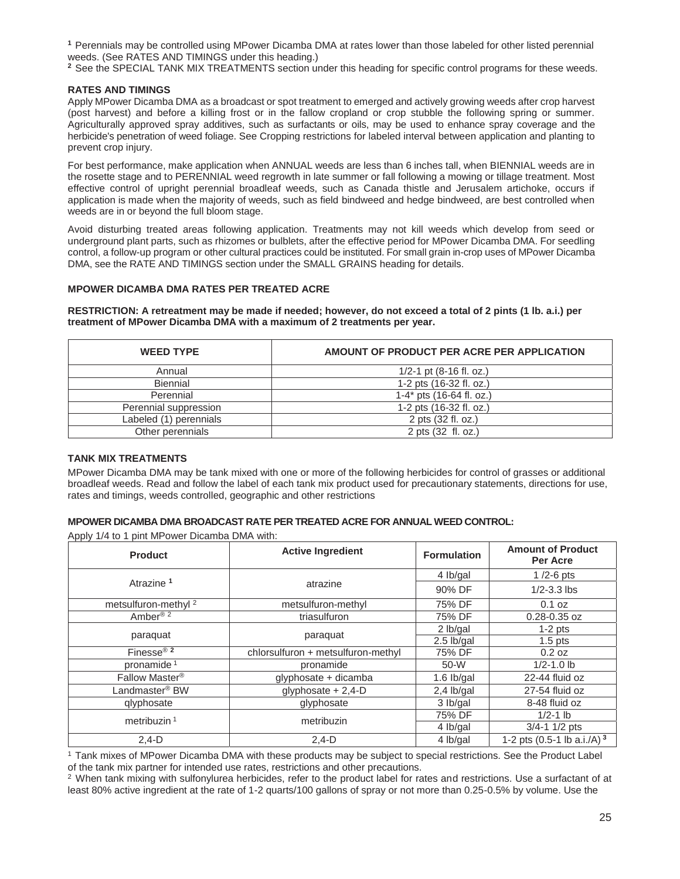**<sup>1</sup>** Perennials may be controlled using MPower Dicamba DMA at rates lower than those labeled for other listed perennial weeds. (See RATES AND TIMINGS under this heading.)

<sup>2</sup> See the SPECIAL TANK MIX TREATMENTS section under this heading for specific control programs for these weeds.

#### **RATES AND TIMINGS**

Apply MPower Dicamba DMA as a broadcast or spot treatment to emerged and actively growing weeds after crop harvest (post harvest) and before a killing frost or in the fallow cropland or crop stubble the following spring or summer. Agriculturally approved spray additives, such as surfactants or oils, may be used to enhance spray coverage and the herbicide's penetration of weed foliage. See Cropping restrictions for labeled interval between application and planting to prevent crop injury.

For best performance, make application when ANNUAL weeds are less than 6 inches tall, when BIENNIAL weeds are in the rosette stage and to PERENNIAL weed regrowth in late summer or fall following a mowing or tillage treatment. Most effective control of upright perennial broadleaf weeds, such as Canada thistle and Jerusalem artichoke, occurs if application is made when the majority of weeds, such as field bindweed and hedge bindweed, are best controlled when weeds are in or beyond the full bloom stage.

Avoid disturbing treated areas following application. Treatments may not kill weeds which develop from seed or underground plant parts, such as rhizomes or bulblets, after the effective period for MPower Dicamba DMA. For seedling control, a follow-up program or other cultural practices could be instituted. For small grain in-crop uses of MPower Dicamba DMA, see the RATE AND TIMINGS section under the SMALL GRAINS heading for details.

#### **MPOWER DICAMBA DMA RATES PER TREATED ACRE**

**RESTRICTION: A retreatment may be made if needed; however, do not exceed a total of 2 pints (1 lb. a.i.) per treatment of MPower Dicamba DMA with a maximum of 2 treatments per year.** 

| <b>WEED TYPE</b>       | AMOUNT OF PRODUCT PER ACRE PER APPLICATION |
|------------------------|--------------------------------------------|
| Annual                 | 1/2-1 pt $(8-16 \text{ fl. oz.})$          |
| Biennial               | 1-2 pts (16-32 fl. oz.)                    |
| Perennial              | $1-4$ * pts (16-64 fl. oz.)                |
| Perennial suppression  | 1-2 pts (16-32 fl. oz.)                    |
| Labeled (1) perennials | 2 pts (32 fl. oz.)                         |
| Other perennials       | 2 pts (32 fl. oz.)                         |

#### **TANK MIX TREATMENTS**

MPower Dicamba DMA may be tank mixed with one or more of the following herbicides for control of grasses or additional broadleaf weeds. Read and follow the label of each tank mix product used for precautionary statements, directions for use, rates and timings, weeds controlled, geographic and other restrictions

#### **MPOWER DICAMBA DMA BROADCAST RATE PER TREATED ACRE FOR ANNUAL WEED CONTROL:**

Apply 1/4 to 1 pint MPower Dicamba DMA with:

| <b>Product</b>                      | <b>Active Ingredient</b>           | <b>Formulation</b> | <b>Amount of Product</b><br>Per Acre     |
|-------------------------------------|------------------------------------|--------------------|------------------------------------------|
|                                     | atrazine                           | 4 lb/gal           | $1/2-6$ pts                              |
| Atrazine <sup>1</sup>               |                                    | 90% DF             | $1/2 - 3.3$ lbs                          |
| metsulfuron-methyl <sup>2</sup>     | metsulfuron-methyl                 | 75% DF             | 0.1 oz                                   |
| Amber <sup>® 2</sup>                | triasulfuron                       | 75% DF             | $0.28 - 0.35$ oz                         |
|                                     | paraquat                           | 2 lb/gal           | $1-2$ pts                                |
| paraquat                            |                                    | 2.5 lb/gal         | $1.5$ pts                                |
| Finesse <sup>® <math>2</math></sup> | chlorsulfuron + metsulfuron-methyl | 75% DF             | 0.2 oz                                   |
| pronamide <sup>1</sup>              | pronamide                          | 50-W               | $1/2 - 1.0$ lb                           |
| Fallow Master <sup>®</sup>          | glyphosate + dicamba               | $1.6$ lb/gal       | 22-44 fluid oz                           |
| Landmaster <sup>®</sup> BW          | glyphosate + 2,4-D                 | $2,4$ lb/gal       | 27-54 fluid oz                           |
| glyphosate                          | glyphosate                         | 3 lb/gal           | 8-48 fluid oz                            |
| metribuzin $1$                      | metribuzin                         | 75% DF             | $1/2 - 1$ lb                             |
|                                     |                                    | 4 lb/gal           | $3/4 - 1$ 1/2 pts                        |
| $2,4-D$                             | $2,4-D$                            | 4 lb/gal           | 1-2 pts $(0.5-1$ lb a.i./A) <sup>3</sup> |

1 Tank mixes of MPower Dicamba DMA with these products may be subject to special restrictions. See the Product Label

of the tank mix partner for intended use rates, restrictions and other precautions.<br><sup>2</sup> When tank mixing with sulfonylurea herbicides, refer to the product label for rates and restrictions. Use a surfactant of at least 80% active ingredient at the rate of 1-2 quarts/100 gallons of spray or not more than 0.25-0.5% by volume. Use the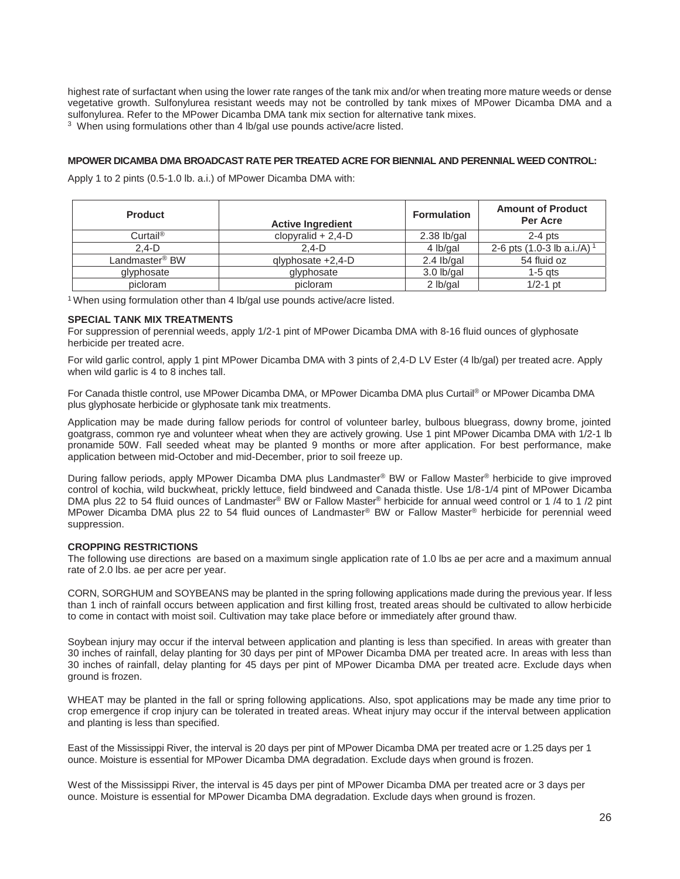highest rate of surfactant when using the lower rate ranges of the tank mix and/or when treating more mature weeds or dense vegetative growth. Sulfonylurea resistant weeds may not be controlled by tank mixes of MPower Dicamba DMA and a sulfonylurea. Refer to the MPower Dicamba DMA tank mix section for alternative tank mixes.

3 When using formulations other than 4 lb/gal use pounds active/acre listed.

#### **MPOWER DICAMBA DMA BROADCAST RATE PER TREATED ACRE FOR BIENNIAL AND PERENNIAL WEED CONTROL:**

Apply 1 to 2 pints (0.5-1.0 lb. a.i.) of MPower Dicamba DMA with:

| <b>Product</b>             | <b>Active Ingredient</b> | <b>Formulation</b> | <b>Amount of Product</b><br>Per Acre     |
|----------------------------|--------------------------|--------------------|------------------------------------------|
| $Curtail^{\circ}$          | clopyralid $+ 2,4$ -D    | $2.38$ lb/gal      | $2-4$ pts                                |
| $2.4-D$                    | $2.4-D$                  | 4 lb/gal           | 2-6 pts $(1.0-3$ lb a.i./A) <sup>1</sup> |
| Landmaster <sup>®</sup> BW | qlyphosate +2,4-D        | $2.4$ lb/gal       | 54 fluid oz                              |
| glyphosate                 | glyphosate               | $3.0$ lb/gal       | $1-5$ ats                                |
| picloram                   | picloram                 | 2 lb/gal           | $1/2 - 1$ pt                             |

<sup>1</sup> When using formulation other than 4 lb/gal use pounds active/acre listed.

#### **SPECIAL TANK MIX TREATMENTS**

For suppression of perennial weeds, apply 1/2-1 pint of MPower Dicamba DMA with 8-16 fluid ounces of glyphosate herbicide per treated acre.

For wild garlic control, apply 1 pint MPower Dicamba DMA with 3 pints of 2,4-D LV Ester (4 lb/gal) per treated acre. Apply when wild garlic is 4 to 8 inches tall.

For Canada thistle control, use MPower Dicamba DMA, or MPower Dicamba DMA plus Curtail® or MPower Dicamba DMA plus glyphosate herbicide or glyphosate tank mix treatments.

Application may be made during fallow periods for control of volunteer barley, bulbous bluegrass, downy brome, jointed goatgrass, common rye and volunteer wheat when they are actively growing. Use 1 pint MPower Dicamba DMA with 1/2-1 lb pronamide 50W. Fall seeded wheat may be planted 9 months or more after application. For best performance, make application between mid-October and mid-December, prior to soil freeze up.

During fallow periods, apply MPower Dicamba DMA plus Landmaster® BW or Fallow Master® herbicide to give improved control of kochia, wild buckwheat, prickly lettuce, field bindweed and Canada thistle. Use 1/8-1/4 pint of MPower Dicamba DMA plus 22 to 54 fluid ounces of Landmaster® BW or Fallow Master® herbicide for annual weed control or 1/4 to 1/2 pint MPower Dicamba DMA plus 22 to 54 fluid ounces of Landmaster® BW or Fallow Master® herbicide for perennial weed suppression.

#### **CROPPING RESTRICTIONS**

The following use directions are based on a maximum single application rate of 1.0 lbs ae per acre and a maximum annual rate of 2.0 lbs. ae per acre per year.

CORN, SORGHUM and SOYBEANS may be planted in the spring following applications made during the previous year. If less than 1 inch of rainfall occurs between application and first killing frost, treated areas should be cultivated to allow herbicide to come in contact with moist soil. Cultivation may take place before or immediately after ground thaw.

Soybean injury may occur if the interval between application and planting is less than specified. In areas with greater than 30 inches of rainfall, delay planting for 30 days per pint of MPower Dicamba DMA per treated acre. In areas with less than 30 inches of rainfall, delay planting for 45 days per pint of MPower Dicamba DMA per treated acre. Exclude days when ground is frozen.

WHEAT may be planted in the fall or spring following applications. Also, spot applications may be made any time prior to crop emergence if crop injury can be tolerated in treated areas. Wheat injury may occur if the interval between application and planting is less than specified.

East of the Mississippi River, the interval is 20 days per pint of MPower Dicamba DMA per treated acre or 1.25 days per 1 ounce. Moisture is essential for MPower Dicamba DMA degradation. Exclude days when ground is frozen.

West of the Mississippi River, the interval is 45 days per pint of MPower Dicamba DMA per treated acre or 3 days per ounce. Moisture is essential for MPower Dicamba DMA degradation. Exclude days when ground is frozen.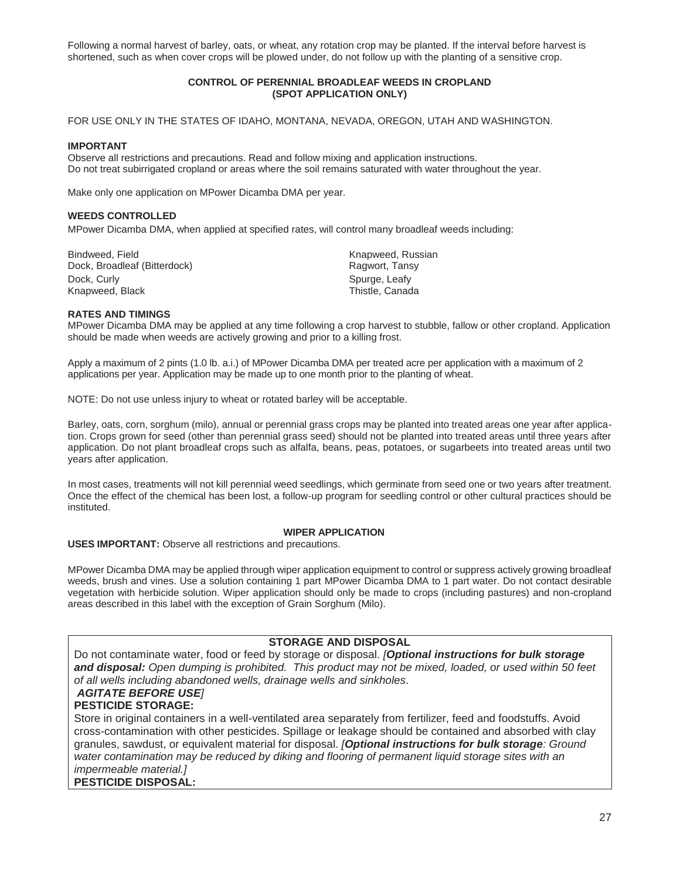Following a normal harvest of barley, oats, or wheat, any rotation crop may be planted. If the interval before harvest is shortened, such as when cover crops will be plowed under, do not follow up with the planting of a sensitive crop.

#### **CONTROL OF PERENNIAL BROADLEAF WEEDS IN CROPLAND (SPOT APPLICATION ONLY)**

FOR USE ONLY IN THE STATES OF IDAHO, MONTANA, NEVADA, OREGON, UTAH AND WASHINGTON.

#### **IMPORTANT**

Observe all restrictions and precautions. Read and follow mixing and application instructions. Do not treat subirrigated cropland or areas where the soil remains saturated with water throughout the year.

Make only one application on MPower Dicamba DMA per year.

#### **WEEDS CONTROLLED**

MPower Dicamba DMA, when applied at specified rates, will control many broadleaf weeds including:

Bindweed, Field **Knapweed, Russian** Dock, Broadleaf (Bitterdock) **Ragwort, Tansy** Dock, Curly Spurge, Leafy Knapweed, Black Thistle, Canada

#### **RATES AND TIMINGS**

MPower Dicamba DMA may be applied at any time following a crop harvest to stubble, fallow or other cropland. Application should be made when weeds are actively growing and prior to a killing frost.

Apply a maximum of 2 pints (1.0 lb. a.i.) of MPower Dicamba DMA per treated acre per application with a maximum of 2 applications per year. Application may be made up to one month prior to the planting of wheat.

NOTE: Do not use unless injury to wheat or rotated barley will be acceptable.

Barley, oats, corn, sorghum (milo), annual or perennial grass crops may be planted into treated areas one year after application. Crops grown for seed (other than perennial grass seed) should not be planted into treated areas until three years after application. Do not plant broadleaf crops such as alfalfa, beans, peas, potatoes, or sugarbeets into treated areas until two years after application.

In most cases, treatments will not kill perennial weed seedlings, which germinate from seed one or two years after treatment. Once the effect of the chemical has been lost, a follow-up program for seedling control or other cultural practices should be instituted.

#### **WIPER APPLICATION**

**USES IMPORTANT:** Observe all restrictions and precautions.

MPower Dicamba DMA may be applied through wiper application equipment to control or suppress actively growing broadleaf weeds, brush and vines. Use a solution containing 1 part MPower Dicamba DMA to 1 part water. Do not contact desirable vegetation with herbicide solution. Wiper application should only be made to crops (including pastures) and non-cropland areas described in this label with the exception of Grain Sorghum (Milo).

### **STORAGE AND DISPOSAL**

Do not contaminate water, food or feed by storage or disposal. *[Optional instructions for bulk storage and disposal: Open dumping is prohibited. This product may not be mixed, loaded, or used within 50 feet of all wells including abandoned wells, drainage wells and sinkholes.* 

# *AGITATE BEFORE USE]*

# **PESTICIDE STORAGE:**

Store in original containers in a well-ventilated area separately from fertilizer, feed and foodstuffs. Avoid cross-contamination with other pesticides. Spillage or leakage should be contained and absorbed with clay granules, sawdust, or equivalent material for disposal. *[Optional instructions for bulk storage: Ground*  water contamination may be reduced by diking and flooring of permanent liquid storage sites with an *impermeable material.]* 

**PESTICIDE DISPOSAL:**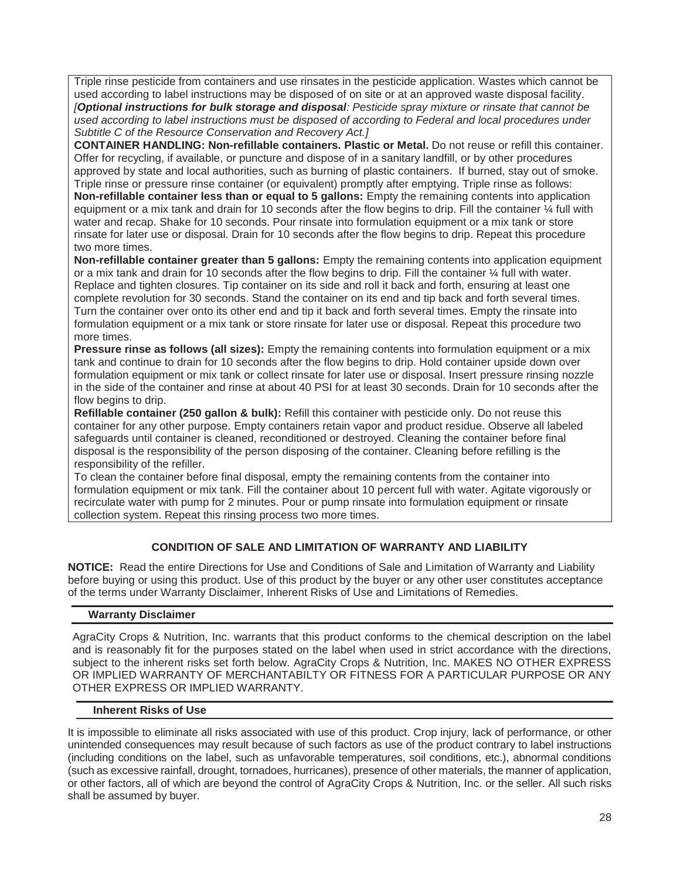Triple rinse pesticide from containers and use rinsates in the pesticide application. Wastes which cannot be used according to label instructions may be disposed of on site or at an approved waste disposal facility. *[Optional instructions for bulk storage and disposal: Pesticide spray mixture or rinsate that cannot be used according to label instructions must be disposed of according to Federal and local procedures under Subtitle C of the Resource Conservation and Recovery Act.]* 

**CONTAINER HANDLING: Non-refillable containers. Plastic or Metal.** Do not reuse or refill this container. Offer for recycling, if available, or puncture and dispose of in a sanitary landfill, or by other procedures approved by state and local authorities, such as burning of plastic containers. If burned, stay out of smoke. Triple rinse or pressure rinse container (or equivalent) promptly after emptying. Triple rinse as follows: **Non-refillable container less than or equal to 5 gallons:** Empty the remaining contents into application

equipment or a mix tank and drain for 10 seconds after the flow begins to drip. Fill the container ¼ full with water and recap. Shake for 10 seconds. Pour rinsate into formulation equipment or a mix tank or store rinsate for later use or disposal. Drain for 10 seconds after the flow begins to drip. Repeat this procedure two more times.

**Non-refillable container greater than 5 gallons:** Empty the remaining contents into application equipment or a mix tank and drain for 10 seconds after the flow begins to drip. Fill the container ¼ full with water. Replace and tighten closures. Tip container on its side and roll it back and forth, ensuring at least one complete revolution for 30 seconds. Stand the container on its end and tip back and forth several times. Turn the container over onto its other end and tip it back and forth several times. Empty the rinsate into formulation equipment or a mix tank or store rinsate for later use or disposal. Repeat this procedure two more times.

**Pressure rinse as follows (all sizes):** Empty the remaining contents into formulation equipment or a mix tank and continue to drain for 10 seconds after the flow begins to drip. Hold container upside down over formulation equipment or mix tank or collect rinsate for later use or disposal. Insert pressure rinsing nozzle in the side of the container and rinse at about 40 PSI for at least 30 seconds. Drain for 10 seconds after the flow begins to drip.

**Refillable container (250 gallon & bulk):** Refill this container with pesticide only. Do not reuse this container for any other purpose. Empty containers retain vapor and product residue. Observe all labeled safeguards until container is cleaned, reconditioned or destroyed. Cleaning the container before final disposal is the responsibility of the person disposing of the container. Cleaning before refilling is the responsibility of the refiller.

To clean the container before final disposal, empty the remaining contents from the container into formulation equipment or mix tank. Fill the container about 10 percent full with water. Agitate vigorously or recirculate water with pump for 2 minutes. Pour or pump rinsate into formulation equipment or rinsate collection system. Repeat this rinsing process two more times.

# **CONDITION OF SALE AND LIMITATION OF WARRANTY AND LIABILITY**

**NOTICE:** Read the entire Directions for Use and Conditions of Sale and Limitation of Warranty and Liability before buying or using this product. Use of this product by the buyer or any other user constitutes acceptance of the terms under Warranty Disclaimer, Inherent Risks of Use and Limitations of Remedies.

# **Warranty Disclaimer**

AgraCity Crops & Nutrition, Inc. warrants that this product conforms to the chemical description on the label and is reasonably fit for the purposes stated on the label when used in strict accordance with the directions, subject to the inherent risks set forth below. AgraCity Crops & Nutrition, Inc. MAKES NO OTHER EXPRESS OR IMPLIED WARRANTY OF MERCHANTABILTY OR FITNESS FOR A PARTICULAR PURPOSE OR ANY OTHER EXPRESS OR IMPLIED WARRANTY.

### **Inherent Risks of Use**

It is impossible to eliminate all risks associated with use of this product. Crop injury, lack of performance, or other unintended consequences may result because of such factors as use of the product contrary to label instructions (including conditions on the label, such as unfavorable temperatures, soil conditions, etc.), abnormal conditions (such as excessive rainfall, drought, tornadoes, hurricanes), presence of other materials, the manner of application, or other factors, all of which are beyond the control of AgraCity Crops & Nutrition, Inc. or the seller. All such risks shall be assumed by buyer.